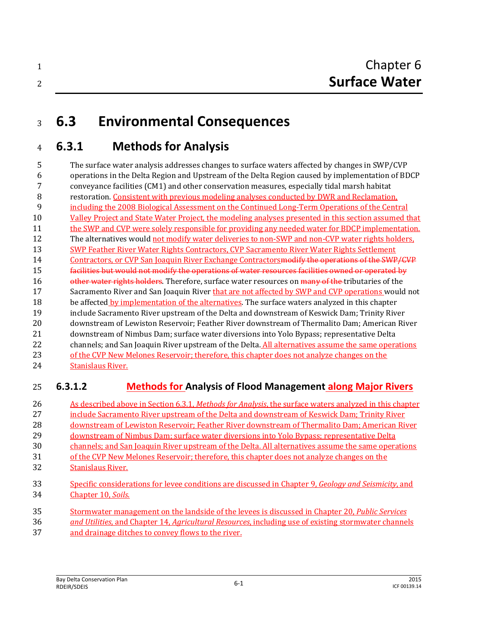# **6.3 Environmental Consequences**

# **6.3.1 Methods for Analysis**

 The surface water analysis addresses changes to surface waters affected by changes in SWP/CVP operations in the Delta Region and Upstream of the Delta Region caused by implementation of BDCP conveyance facilities (CM1) and other conservation measures, especially tidal marsh habitat restoration. Consistent with previous modeling analyses conducted by DWR and Reclamation, including the 2008 Biological Assessment on the Continued Long-Term Operations of the Central Valley Project and State Water Project, the modeling analyses presented in this section assumed that the SWP and CVP were solely responsible for providing any needed water for BDCP implementation. The alternatives would not modify water deliveries to non-SWP and non-CVP water rights holders, SWP Feather River Water Rights Contractors, CVP Sacramento River Water Rights Settlement 14 Contractors, or CVP San Joaquin River Exchange Contractors modify the operations of the SWP/CVP **facilities but would not modify the operations of water resources facilities owned or operated by** 16 other water rights holders. Therefore, surface water resources on many of the tributaries of the 17 Sacramento River and San Joaquin River that are not affected by SWP and CVP operations would not 18 be affected by implementation of the alternatives. The surface waters analyzed in this chapter include Sacramento River upstream of the Delta and downstream of Keswick Dam; Trinity River downstream of Lewiston Reservoir; Feather River downstream of Thermalito Dam; American River downstream of Nimbus Dam; surface water diversions into Yolo Bypass; representative Delta channels; and San Joaquin River upstream of the Delta. All alternatives assume the same operations 23 of the CVP New Melones Reservoir; therefore, this chapter does not analyze changes on the Stanislaus River.

## **6.3.1.2 Methods for Analysis of Flood Management along Major Rivers**

- As described above in Section 6.3.1, *Methods for Analysis*, the surface waters analyzed in this chapter include Sacramento River upstream of the Delta and downstream of Keswick Dam; Trinity River downstream of Lewiston Reservoir; Feather River downstream of Thermalito Dam; American River downstream of Nimbus Dam; surface water diversions into Yolo Bypass; representative Delta channels; and San Joaquin River upstream of the Delta. All alternatives assume the same operations of the CVP New Melones Reservoir; therefore, this chapter does not analyze changes on the Stanislaus River. Specific considerations for levee conditions are discussed in Chapter 9, *Geology and Seismicity*, and Chapter 10, *Soils*.
- Stormwater management on the landside of the levees is discussed in Chapter 20, *Public Services and Utilities*, and Chapter 14, *Agricultural Resources*, including use of existing stormwater channels and drainage ditches to convey flows to the river.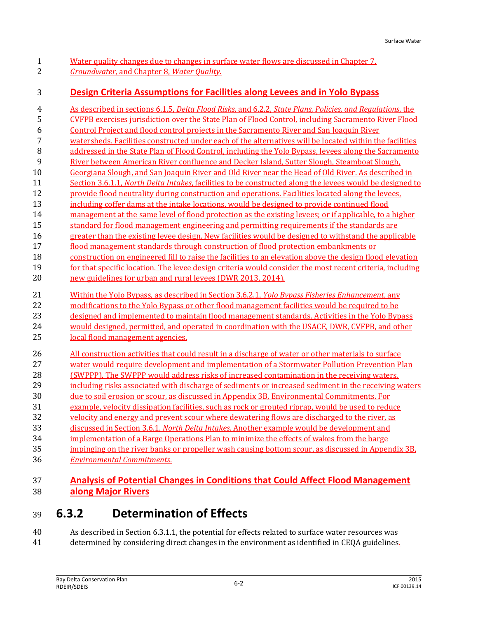1 Water quality changes due to changes in surface water flows are discussed in Chapter 7. *Groundwater*, and Chapter 8, *Water Quality*.

## **Design Criteria Assumptions for Facilities along Levees and in Yolo Bypass**

 As described in sections 6.1.5, *Delta Flood Risks*, and 6.2.2, *State Plans, Policies, and Regulations*, the CVFPB exercises jurisdiction over the State Plan of Flood Control, including Sacramento River Flood Control Project and flood control projects in the Sacramento River and San Joaquin River watersheds. Facilities constructed under each of the alternatives will be located within the facilities addressed in the State Plan of Flood Control, including the Yolo Bypass, levees along the Sacramento River between American River confluence and Decker Island, Sutter Slough, Steamboat Slough, Georgiana Slough, and San Joaquin River and Old River near the Head of Old River. As described in Section 3.6.1.1, *North Delta Intakes*, facilities to be constructed along the levees would be designed to provide flood neutrality during construction and operations. Facilities located along the levees, 13 including coffer dams at the intake locations, would be designed to provide continued flood 14 management at the same level of flood protection as the existing levees; or if applicable, to a higher 15 standard for flood management engineering and permitting requirements if the standards are greater than the existing levee design. New facilities would be designed to withstand the applicable flood management standards through construction of flood protection embankments or construction on engineered fill to raise the facilities to an elevation above the design flood elevation 19 for that specific location. The levee design criteria would consider the most recent criteria, including new guidelines for urban and rural levees (DWR 2013, 2014). Within the Yolo Bypass, as described in Section 3.6.2.1, *Yolo Bypass Fisheries Enhancement*, any modifications to the Yolo Bypass or other flood management facilities would be required to be designed and implemented to maintain flood management standards. Activities in the Yolo Bypass would designed, permitted, and operated in coordination with the USACE, DWR, CVFPB, and other local flood management agencies. All construction activities that could result in a discharge of water or other materials to surface water would require development and implementation of a Stormwater Pollution Prevention Plan (SWPPP). The SWPPP would address risks of increased contamination in the receiving waters, 29 including risks associated with discharge of sediments or increased sediment in the receiving waters due to soil erosion or scour, as discussed in Appendix 3B, Environmental Commitments. For example, velocity dissipation facilities, such as rock or grouted riprap, would be used to reduce 32 velocity and energy and prevent scour where dewatering flows are discharged to the river, as discussed in Section 3.6.1, *North Delta Intakes*. Another example would be development and implementation of a Barge Operations Plan to minimize the effects of wakes from the barge impinging on the river banks or propeller wash causing bottom scour, as discussed in Appendix 3B, *Environmental Commitments*.

## **Analysis of Potential Changes in Conditions that Could Affect Flood Management along Major Rivers**

## **6.3.2 Determination of Effects**

 As described in Section 6.3.1.1, the potential for effects related to surface water resources was determined by considering direct changes in the environment as identified in CEQA guidelines.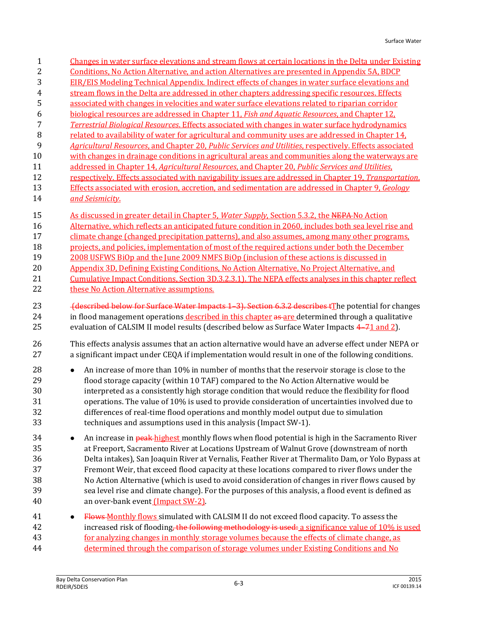| $\mathbf{1}$                           | Changes in water surface elevations and stream flows at certain locations in the Delta under Existing                                                                                                                                                                                                                                                                                                                                                                                                                                                                                                                                                              |
|----------------------------------------|--------------------------------------------------------------------------------------------------------------------------------------------------------------------------------------------------------------------------------------------------------------------------------------------------------------------------------------------------------------------------------------------------------------------------------------------------------------------------------------------------------------------------------------------------------------------------------------------------------------------------------------------------------------------|
| 2                                      | Conditions, No Action Alternative, and action Alternatives are presented in Appendix 5A, BDCP                                                                                                                                                                                                                                                                                                                                                                                                                                                                                                                                                                      |
| 3                                      | EIR/EIS Modeling Technical Appendix. Indirect effects of changes in water surface elevations and                                                                                                                                                                                                                                                                                                                                                                                                                                                                                                                                                                   |
| $\overline{\mathbf{r}}$                | stream flows in the Delta are addressed in other chapters addressing specific resources. Effects                                                                                                                                                                                                                                                                                                                                                                                                                                                                                                                                                                   |
| 5                                      | associated with changes in velocities and water surface elevations related to riparian corridor                                                                                                                                                                                                                                                                                                                                                                                                                                                                                                                                                                    |
| 6                                      | biological resources are addressed in Chapter 11, Fish and Aquatic Resources, and Chapter 12,                                                                                                                                                                                                                                                                                                                                                                                                                                                                                                                                                                      |
| 7                                      | <b>Terrestrial Biological Resources. Effects associated with changes in water surface hydrodynamics</b>                                                                                                                                                                                                                                                                                                                                                                                                                                                                                                                                                            |
| $\, 8$                                 | related to availability of water for agricultural and community uses are addressed in Chapter 14,                                                                                                                                                                                                                                                                                                                                                                                                                                                                                                                                                                  |
| 9                                      | Agricultural Resources, and Chapter 20, Public Services and Utilities, respectively. Effects associated                                                                                                                                                                                                                                                                                                                                                                                                                                                                                                                                                            |
| 10                                     | with changes in drainage conditions in agricultural areas and communities along the waterways are                                                                                                                                                                                                                                                                                                                                                                                                                                                                                                                                                                  |
| 11                                     | addressed in Chapter 14, Agricultural Resources, and Chapter 20, Public Services and Utilities,                                                                                                                                                                                                                                                                                                                                                                                                                                                                                                                                                                    |
| 12                                     | respectively. Effects associated with navigability issues are addressed in Chapter 19, Transportation.                                                                                                                                                                                                                                                                                                                                                                                                                                                                                                                                                             |
| 13                                     | Effects associated with erosion, accretion, and sedimentation are addressed in Chapter 9, Geology                                                                                                                                                                                                                                                                                                                                                                                                                                                                                                                                                                  |
| 14                                     | and Seismicity.                                                                                                                                                                                                                                                                                                                                                                                                                                                                                                                                                                                                                                                    |
| 15                                     | As discussed in greater detail in Chapter 5, Water Supply, Section 5.3.2, the NEPA-No Action                                                                                                                                                                                                                                                                                                                                                                                                                                                                                                                                                                       |
| 16                                     | Alternative, which reflects an anticipated future condition in 2060, includes both sea level rise and                                                                                                                                                                                                                                                                                                                                                                                                                                                                                                                                                              |
| 17                                     | climate change (changed precipitation patterns), and also assumes, among many other programs,                                                                                                                                                                                                                                                                                                                                                                                                                                                                                                                                                                      |
| 18                                     | projects, and policies, implementation of most of the required actions under both the December                                                                                                                                                                                                                                                                                                                                                                                                                                                                                                                                                                     |
| 19                                     | 2008 USFWS BiOp and the June 2009 NMFS BiOp (inclusion of these actions is discussed in                                                                                                                                                                                                                                                                                                                                                                                                                                                                                                                                                                            |
| 20                                     | Appendix 3D, Defining Existing Conditions, No Action Alternative, No Project Alternative, and                                                                                                                                                                                                                                                                                                                                                                                                                                                                                                                                                                      |
| 21                                     | Cumulative Impact Conditions, Section 3D.3.2.3.1). The NEPA effects analyses in this chapter reflect                                                                                                                                                                                                                                                                                                                                                                                                                                                                                                                                                               |
| 22                                     | these No Action Alternative assumptions.                                                                                                                                                                                                                                                                                                                                                                                                                                                                                                                                                                                                                           |
| 23                                     | (described below for Surface Water Impacts 1 3). Section 6.3.2 describes tThe potential for changes                                                                                                                                                                                                                                                                                                                                                                                                                                                                                                                                                                |
| 24                                     | in flood management operations described in this chapter as are determined through a qualitative                                                                                                                                                                                                                                                                                                                                                                                                                                                                                                                                                                   |
| 25                                     | evaluation of CALSIM II model results (described below as Surface Water Impacts 4–71 and 2).                                                                                                                                                                                                                                                                                                                                                                                                                                                                                                                                                                       |
| 26                                     | This effects analysis assumes that an action alternative would have an adverse effect under NEPA or                                                                                                                                                                                                                                                                                                                                                                                                                                                                                                                                                                |
| 27                                     | a significant impact under CEQA if implementation would result in one of the following conditions.                                                                                                                                                                                                                                                                                                                                                                                                                                                                                                                                                                 |
| 28                                     | An increase of more than 10% in number of months that the reservoir storage is close to the                                                                                                                                                                                                                                                                                                                                                                                                                                                                                                                                                                        |
| 29                                     | flood storage capacity (within 10 TAF) compared to the No Action Alternative would be                                                                                                                                                                                                                                                                                                                                                                                                                                                                                                                                                                              |
| 30                                     | interpreted as a consistently high storage condition that would reduce the flexibility for flood                                                                                                                                                                                                                                                                                                                                                                                                                                                                                                                                                                   |
| 31                                     | operations. The value of 10% is used to provide consideration of uncertainties involved due to                                                                                                                                                                                                                                                                                                                                                                                                                                                                                                                                                                     |
| 32                                     | differences of real-time flood operations and monthly model output due to simulation                                                                                                                                                                                                                                                                                                                                                                                                                                                                                                                                                                               |
| 33                                     | techniques and assumptions used in this analysis (Impact SW-1).                                                                                                                                                                                                                                                                                                                                                                                                                                                                                                                                                                                                    |
| 34<br>35<br>36<br>37<br>38<br>39<br>40 | An increase in <b>peak-highest</b> monthly flows when flood potential is high in the Sacramento River<br>$\bullet$<br>at Freeport, Sacramento River at Locations Upstream of Walnut Grove (downstream of north<br>Delta intakes), San Joaquin River at Vernalis, Feather River at Thermalito Dam, or Yolo Bypass at<br>Fremont Weir, that exceed flood capacity at these locations compared to river flows under the<br>No Action Alternative (which is used to avoid consideration of changes in river flows caused by<br>sea level rise and climate change). For the purposes of this analysis, a flood event is defined as<br>an over-bank event (Impact SW-2). |
| 41                                     | Flows Monthly flows simulated with CALSIM II do not exceed flood capacity. To assess the                                                                                                                                                                                                                                                                                                                                                                                                                                                                                                                                                                           |
| 42                                     | increased risk of flooding, the following methodology is used: a significance value of 10% is used                                                                                                                                                                                                                                                                                                                                                                                                                                                                                                                                                                 |
| 43                                     | for analyzing changes in monthly storage volumes because the effects of climate change, as                                                                                                                                                                                                                                                                                                                                                                                                                                                                                                                                                                         |
| 44                                     | determined through the comparison of storage volumes under Existing Conditions and No                                                                                                                                                                                                                                                                                                                                                                                                                                                                                                                                                                              |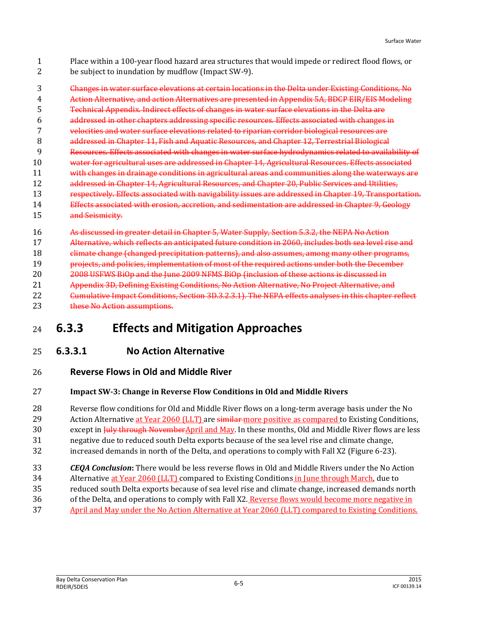Place within a 100-year flood hazard area structures that would impede or redirect flood flows, or be subject to inundation by mudflow (Impact SW-9).

 Changes in water surface elevations at certain locations in the Delta under Existing Conditions, No Action Alternative, and action Alternatives are presented in Appendix 5A, BDCP EIR/EIS Modeling Technical Appendix. Indirect effects of changes in water surface elevations in the Delta are addressed in other chapters addressing specific resources. Effects associated with changes in velocities and water surface elevations related to riparian corridor biological resources are **addressed in Chapter 11, Fish and Aquatic Resources, and Chapter 12, Terrestrial Biological**  Resources. Effects associated with changes in water surface hydrodynamics related to availability of 10 water for agricultural uses are addressed in Chapter 14, Agricultural Resources. Effects associated with changes in drainage conditions in agricultural areas and communities along the waterways are addressed in Chapter 14, Agricultural Resources, and Chapter 20, Public Services and Utilities, 13 respectively. Effects associated with navigability issues are addressed in Chapter 19, Transportation. Effects associated with erosion, accretion, and sedimentation are addressed in Chapter 9, Geology and Seismicity.

- As discussed in greater detail in Chapter 5, Water Supply, Section 5.3.2, the NEPA No Action
- Alternative, which reflects an anticipated future condition in 2060, includes both sea level rise and
- climate change (changed precipitation patterns), and also assumes, among many other programs,

projects, and policies, implementation of most of the required actions under both the December

- 20 2008 USFWS BiOp and the June 2009 NFMS BiOp (inclusion of these actions is discussed in
- Appendix 3D, Defining Existing Conditions, No Action Alternative, No Project Alternative, and
- Cumulative Impact Conditions, Section 3D.3.2.3.1). The NEPA effects analyses in this chapter reflect 23 these No Action assumptions.

# **6.3.3 Effects and Mitigation Approaches**

## **6.3.3.1 No Action Alternative**

**Reverse Flows in Old and Middle River**

#### **Impact SW-3: Change in Reverse Flow Conditions in Old and Middle Rivers**

- Reverse flow conditions for Old and Middle River flows on a long-term average basis under the No
- 29 Action Alternative at Year 2060 (LLT) are similar-more positive as compared to Existing Conditions,
- 30 except in Huly through NovemberApril and May. In these months, Old and Middle River flows are less
- negative due to reduced south Delta exports because of the sea level rise and climate change,
- increased demands in north of the Delta, and operations to comply with Fall X2 (Figure 6-23).
- *CEQA Conclusion***:** There would be less reverse flows in Old and Middle Rivers under the No Action
- Alternative at Year 2060 (LLT) compared to Existing Conditions in June through March, due to
- reduced south Delta exports because of sea level rise and climate change, increased demands north
- 36 of the Delta, and operations to comply with Fall X2. Reverse flows would become more negative in
- April and May under the No Action Alternative at Year 2060 (LLT) compared to Existing Conditions.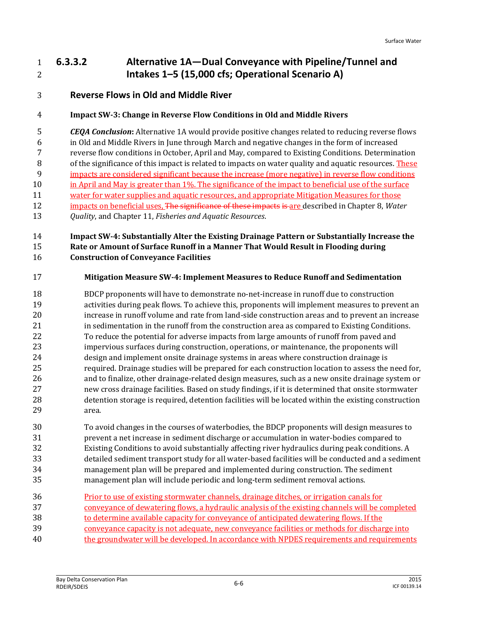## **6.3.3.2 Alternative 1A—Dual Conveyance with Pipeline/Tunnel and Intakes 1–5 (15,000 cfs; Operational Scenario A)**

## **Reverse Flows in Old and Middle River**

#### **Impact SW-3: Change in Reverse Flow Conditions in Old and Middle Rivers**

 *CEQA Conclusion***:** Alternative 1A would provide positive changes related to reducing reverse flows in Old and Middle Rivers in June through March and negative changes in the form of increased reverse flow conditions in October, April and May, compared to Existing Conditions. Determination of the significance of this impact is related to impacts on water quality and aquatic resources. These impacts are considered significant because the increase (more negative) in reverse flow conditions in April and May is greater than 1%. The significance of the impact to beneficial use of the surface water for water supplies and aquatic resources, and appropriate Mitigation Measures for those impacts on beneficial uses, The significance of these impacts is are described in Chapter 8, *Water* 

*Quality*, and Chapter 11, *Fisheries and Aquatic Resources*.

#### **Impact SW-4: Substantially Alter the Existing Drainage Pattern or Substantially Increase the Rate or Amount of Surface Runoff in a Manner That Would Result in Flooding during Construction of Conveyance Facilities**

#### **Mitigation Measure SW-4: Implement Measures to Reduce Runoff and Sedimentation**

 BDCP proponents will have to demonstrate no-net-increase in runoff due to construction activities during peak flows. To achieve this, proponents will implement measures to prevent an increase in runoff volume and rate from land-side construction areas and to prevent an increase in sedimentation in the runoff from the construction area as compared to Existing Conditions. To reduce the potential for adverse impacts from large amounts of runoff from paved and impervious surfaces during construction, operations, or maintenance, the proponents will design and implement onsite drainage systems in areas where construction drainage is required. Drainage studies will be prepared for each construction location to assess the need for, and to finalize, other drainage-related design measures, such as a new onsite drainage system or new cross drainage facilities. Based on study findings, if it is determined that onsite stormwater detention storage is required, detention facilities will be located within the existing construction area.

 To avoid changes in the courses of waterbodies, the BDCP proponents will design measures to prevent a net increase in sediment discharge or accumulation in water-bodies compared to Existing Conditions to avoid substantially affecting river hydraulics during peak conditions. A detailed sediment transport study for all water-based facilities will be conducted and a sediment management plan will be prepared and implemented during construction. The sediment management plan will include periodic and long-term sediment removal actions.

| 36 | Prior to use of existing stormwater channels, drainage ditches, or irrigation canals for        |
|----|-------------------------------------------------------------------------------------------------|
| 37 | conveyance of dewatering flows, a hydraulic analysis of the existing channels will be completed |
| 38 | to determine available capacity for conveyance of anticipated dewatering flows. If the          |
| 39 | conveyance capacity is not adequate, new conveyance facilities or methods for discharge into    |
| 40 | the groundwater will be developed. In accordance with NPDES requirements and requirements       |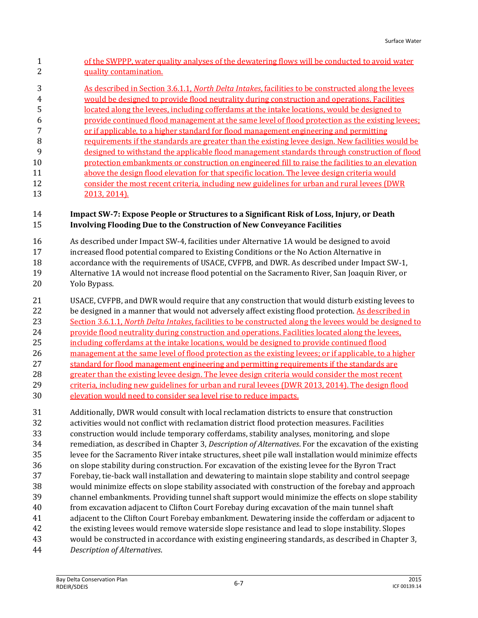- of the SWPPP, water quality analyses of the dewatering flows will be conducted to avoid water quality contamination.
- As described in Section 3.6.1.1, *North Delta Intakes*, facilities to be constructed along the levees would be designed to provide flood neutrality during construction and operations. Facilities located along the levees, including cofferdams at the intake locations, would be designed to provide continued flood management at the same level of flood protection as the existing levees;
- or if applicable, to a higher standard for flood management engineering and permitting
- requirements if the standards are greater than the existing levee design. New facilities would be
- designed to withstand the applicable flood management standards through construction of flood protection embankments or construction on engineered fill to raise the facilities to an elevation
- above the design flood elevation for that specific location. The levee design criteria would consider the most recent criteria, including new guidelines for urban and rural levees (DWR
- 2013, 2014).

## **Impact SW-7: Expose People or Structures to a Significant Risk of Loss, Injury, or Death Involving Flooding Due to the Construction of New Conveyance Facilities**

- As described under Impact SW-4, facilities under Alternative 1A would be designed to avoid
- increased flood potential compared to Existing Conditions or the No Action Alternative in accordance with the requirements of USACE, CVFPB, and DWR. As described under Impact SW-1, Alternative 1A would not increase flood potential on the Sacramento River, San Joaquin River, or
- Yolo Bypass.
- USACE, CVFPB, and DWR would require that any construction that would disturb existing levees to be designed in a manner that would not adversely affect existing flood protection. As described in Section 3.6.1.1, *North Delta Intakes*, facilities to be constructed along the levees would be designed to provide flood neutrality during construction and operations. Facilities located along the levees, 25 including cofferdams at the intake locations, would be designed to provide continued flood 26 management at the same level of flood protection as the existing levees; or if applicable, to a higher 27 standard for flood management engineering and permitting requirements if the standards are greater than the existing levee design. The levee design criteria would consider the most recent
- criteria, including new guidelines for urban and rural levees (DWR 2013, 2014). The design flood
- elevation would need to consider sea level rise to reduce impacts.

 Additionally, DWR would consult with local reclamation districts to ensure that construction activities would not conflict with reclamation district flood protection measures. Facilities construction would include temporary cofferdams, stability analyses, monitoring, and slope remediation, as described in Chapter 3, *Description of Alternatives*. For the excavation of the existing levee for the Sacramento River intake structures, sheet pile wall installation would minimize effects on slope stability during construction. For excavation of the existing levee for the Byron Tract Forebay, tie-back wall installation and dewatering to maintain slope stability and control seepage would minimize effects on slope stability associated with construction of the forebay and approach channel embankments. Providing tunnel shaft support would minimize the effects on slope stability from excavation adjacent to Clifton Court Forebay during excavation of the main tunnel shaft adjacent to the Clifton Court Forebay embankment. Dewatering inside the cofferdam or adjacent to the existing levees would remove waterside slope resistance and lead to slope instability. Slopes would be constructed in accordance with existing engineering standards, as described in Chapter 3,

*Description of Alternatives*.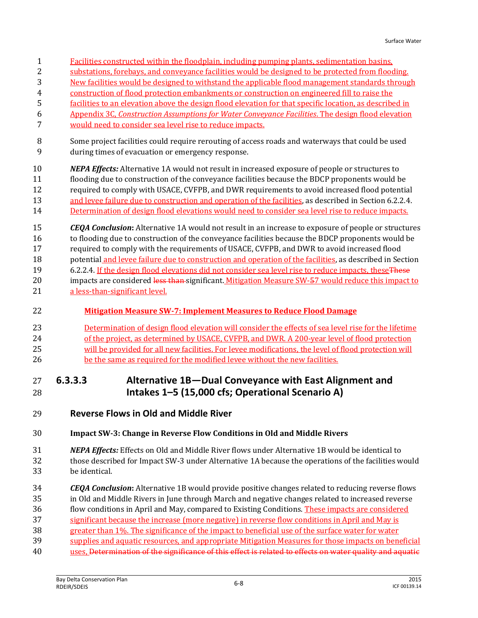- Facilities constructed within the floodplain, including pumping plants, sedimentation basins,
- substations, forebays, and conveyance facilities would be designed to be protected from flooding.
- New facilities would be designed to withstand the applicable flood management standards through
- construction of flood protection embankments or construction on engineered fill to raise the
- facilities to an elevation above the design flood elevation for that specific location, as described in
- Appendix 3C, *Construction Assumptions for Water Conveyance Facilities*. The design flood elevation would need to consider sea level rise to reduce impacts.
- Some project facilities could require rerouting of access roads and waterways that could be used during times of evacuation or emergency response.
- *NEPA Effects:* Alternative 1A would not result in increased exposure of people or structures to flooding due to construction of the conveyance facilities because the BDCP proponents would be required to comply with USACE, CVFPB, and DWR requirements to avoid increased flood potential 13 and levee failure due to construction and operation of the facilities, as described in Section 6.2.2.4. Determination of design flood elevations would need to consider sea level rise to reduce impacts.
- *CEQA Conclusion***:** Alternative 1A would not result in an increase to exposure of people or structures to flooding due to construction of the conveyance facilities because the BDCP proponents would be required to comply with the requirements of USACE, CVFPB, and DWR to avoid increased flood potential and levee failure due to construction and operation of the facilities, as described in Section 19 6.2.2.4. If the design flood elevations did not consider sea level rise to reduce impacts, these These 20 impacts are considered less than significant. Mitigation Measure SW-57 would reduce this impact to 21 a less-than-significant level.
- **Mitigation Measure SW-7: Implement Measures to Reduce Flood Damage**
- Determination of design flood elevation will consider the effects of sea level rise for the lifetime 24 of the project, as determined by USACE, CVFPB, and DWR. A 200-year level of flood protection will be provided for all new facilities. For levee modifications, the level of flood protection will be the same as required for the modified levee without the new facilities.
- **6.3.3.3 Alternative 1B—Dual Conveyance with East Alignment and Intakes 1–5 (15,000 cfs; Operational Scenario A)**
- **Reverse Flows in Old and Middle River**

#### **Impact SW-3: Change in Reverse Flow Conditions in Old and Middle Rivers**

- *NEPA Effects:* Effects on Old and Middle River flows under Alternative 1B would be identical to those described for Impact SW-3 under Alternative 1A because the operations of the facilities would be identical.
- *CEQA Conclusion***:** Alternative 1B would provide positive changes related to reducing reverse flows
- in Old and Middle Rivers in June through March and negative changes related to increased reverse
- flow conditions in April and May, compared to Existing Conditions. These impacts are considered
- significant because the increase (more negative) in reverse flow conditions in April and May is
- greater than 1%. The significance of the impact to beneficial use of the surface water for water
- supplies and aquatic resources, and appropriate Mitigation Measures for those impacts on beneficial
- uses, Determination of the significance of this effect is related to effects on water quality and aquatic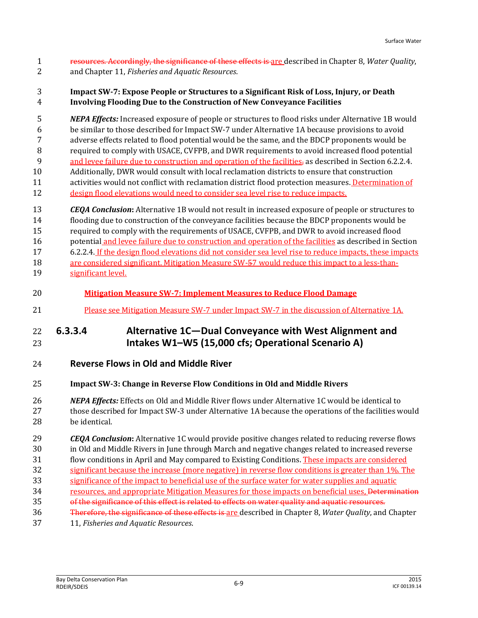resources. Accordingly, the significance of these effects is are described in Chapter 8, *Water Quality*, and Chapter 11, *Fisheries and Aquatic Resources*.

#### **Impact SW-7: Expose People or Structures to a Significant Risk of Loss, Injury, or Death Involving Flooding Due to the Construction of New Conveyance Facilities**

 *NEPA Effects:* Increased exposure of people or structures to flood risks under Alternative 1B would be similar to those described for Impact SW-7 under Alternative 1A because provisions to avoid adverse effects related to flood potential would be the same, and the BDCP proponents would be required to comply with USACE, CVFPB, and DWR requirements to avoid increased flood potential 9 and levee failure due to construction and operation of the facilities, as described in Section 6.2.2.4. Additionally, DWR would consult with local reclamation districts to ensure that construction activities would not conflict with reclamation district flood protection measures. Determination of design flood elevations would need to consider sea level rise to reduce impacts.

 *CEQA Conclusion***:** Alternative 1B would not result in increased exposure of people or structures to flooding due to construction of the conveyance facilities because the BDCP proponents would be required to comply with the requirements of USACE, CVFPB, and DWR to avoid increased flood potential and levee failure due to construction and operation of the facilities as described in Section 6.2.2.4. If the design flood elevations did not consider sea level rise to reduce impacts, these impacts

- are considered significant. Mitigation Measure SW-57 would reduce this impact to a less-than-significant level.
- **Mitigation Measure SW-7: Implement Measures to Reduce Flood Damage**
- Please see Mitigation Measure SW-7 under Impact SW-7 in the discussion of Alternative 1A.

## **6.3.3.4 Alternative 1C—Dual Conveyance with West Alignment and Intakes W1–W5 (15,000 cfs; Operational Scenario A)**

**Reverse Flows in Old and Middle River**

#### **Impact SW-3: Change in Reverse Flow Conditions in Old and Middle Rivers**

- *NEPA Effects:* Effects on Old and Middle River flows under Alternative 1C would be identical to those described for Impact SW-3 under Alternative 1A because the operations of the facilities would be identical.
- *CEQA Conclusion***:** Alternative 1C would provide positive changes related to reducing reverse flows in Old and Middle Rivers in June through March and negative changes related to increased reverse
- flow conditions in April and May compared to Existing Conditions. These impacts are considered
- significant because the increase (more negative) in reverse flow conditions is greater than 1%. The
- significance of the impact to beneficial use of the surface water for water supplies and aquatic
- 34 resources, and appropriate Mitigation Measures for those impacts on beneficial uses, Determination
- 35 of the significance of this effect is related to effects on water quality and aquatic resources.
- Therefore, the significance of these effects is are described in Chapter 8, *Water Quality*, and Chapter
- 11, *Fisheries and Aquatic Resources*.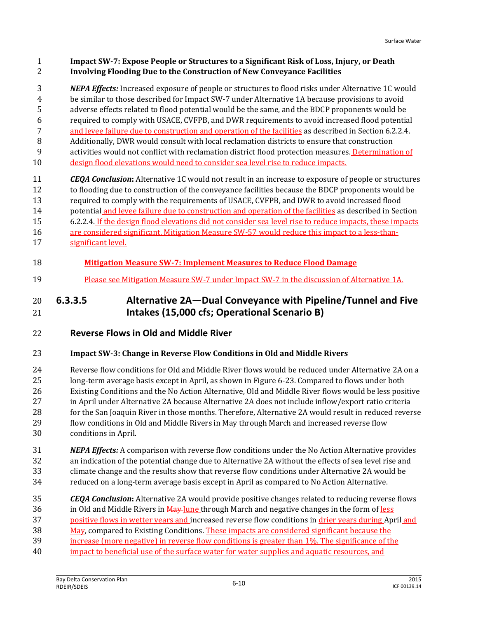#### **Impact SW-7: Expose People or Structures to a Significant Risk of Loss, Injury, or Death Involving Flooding Due to the Construction of New Conveyance Facilities**

 *NEPA Effects:* Increased exposure of people or structures to flood risks under Alternative 1C would be similar to those described for Impact SW-7 under Alternative 1A because provisions to avoid adverse effects related to flood potential would be the same, and the BDCP proponents would be required to comply with USACE, CVFPB, and DWR requirements to avoid increased flood potential and levee failure due to construction and operation of the facilities as described in Section 6.2.2.4. Additionally, DWR would consult with local reclamation districts to ensure that construction

- activities would not conflict with reclamation district flood protection measures. Determination of
- design flood elevations would need to consider sea level rise to reduce impacts.
- *CEQA Conclusion***:** Alternative 1C would not result in an increase to exposure of people or structures to flooding due to construction of the conveyance facilities because the BDCP proponents would be required to comply with the requirements of USACE, CVFPB, and DWR to avoid increased flood potential and levee failure due to construction and operation of the facilities as described in Section 6.2.2.4. If the design flood elevations did not consider sea level rise to reduce impacts, these impacts 16 are considered significant. Mitigation Measure SW-57 would reduce this impact to a less-than-
- significant level.

## **Mitigation Measure SW-7: Implement Measures to Reduce Flood Damage**

Please see Mitigation Measure SW-7 under Impact SW-7 in the discussion of Alternative 1A.

## **6.3.3.5 Alternative 2A—Dual Conveyance with Pipeline/Tunnel and Five Intakes (15,000 cfs; Operational Scenario B)**

**Reverse Flows in Old and Middle River**

#### **Impact SW-3: Change in Reverse Flow Conditions in Old and Middle Rivers**

 Reverse flow conditions for Old and Middle River flows would be reduced under Alternative 2A on a long-term average basis except in April, as shown in Figure 6-23. Compared to flows under both Existing Conditions and the No Action Alternative, Old and Middle River flows would be less positive in April under Alternative 2A because Alternative 2A does not include inflow/export ratio criteria 28 for the San Joaquin River in those months. Therefore, Alternative 2A would result in reduced reverse flow conditions in Old and Middle Rivers in May through March and increased reverse flow conditions in April.

- *NEPA Effects:* A comparison with reverse flow conditions under the No Action Alternative provides an indication of the potential change due to Alternative 2A without the effects of sea level rise and climate change and the results show that reverse flow conditions under Alternative 2A would be reduced on a long-term average basis except in April as compared to No Action Alternative.
- *CEQA Conclusion***:** Alternative 2A would provide positive changes related to reducing reverse flows 36 in Old and Middle Rivers in May June through March and negative changes in the form of less positive flows in wetter years and increased reverse flow conditions in drier years during April and May, compared to Existing Conditions. These impacts are considered significant because the increase (more negative) in reverse flow conditions is greater than 1%. The significance of the impact to beneficial use of the surface water for water supplies and aquatic resources, and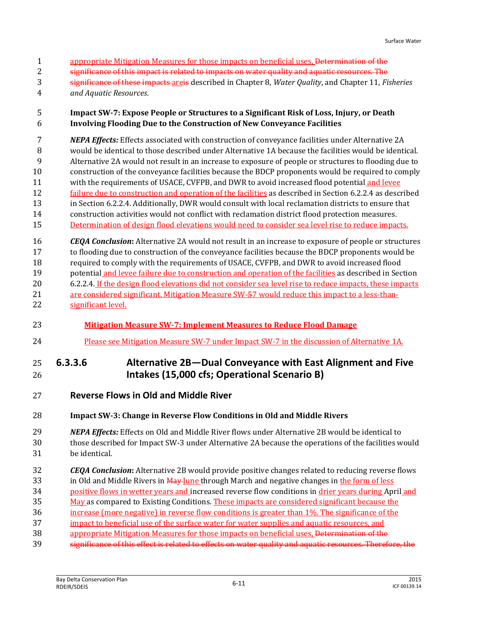- 1 appropriate Mitigation Measures for those impacts on beneficial uses, Determination of the
- **Significance of this impact is related to impacts on water quality and aquatic resources. The**
- significance of these impacts areis described in Chapter 8, *Water Quality*, and Chapter 11, *Fisheries*
- *and Aquatic Resources*.

## **Impact SW-7: Expose People or Structures to a Significant Risk of Loss, Injury, or Death Involving Flooding Due to the Construction of New Conveyance Facilities**

 *NEPA Effects:* Effects associated with construction of conveyance facilities under Alternative 2A would be identical to those described under Alternative 1A because the facilities would be identical. Alternative 2A would not result in an increase to exposure of people or structures to flooding due to construction of the conveyance facilities because the BDCP proponents would be required to comply with the requirements of USACE, CVFPB, and DWR to avoid increased flood potential and levee 12 failure due to construction and operation of the facilities as described in Section 6.2.2.4 as described in Section 6.2.2.4. Additionally, DWR would consult with local reclamation districts to ensure that construction activities would not conflict with reclamation district flood protection measures. 15 Determination of design flood elevations would need to consider sea level rise to reduce impacts.

 *CEQA Conclusion***:** Alternative 2A would not result in an increase to exposure of people or structures to flooding due to construction of the conveyance facilities because the BDCP proponents would be required to comply with the requirements of USACE, CVFPB, and DWR to avoid increased flood 19 potential and levee failure due to construction and operation of the facilities as described in Section 6.2.2.4. If the design flood elevations did not consider sea level rise to reduce impacts, these impacts 21 are considered significant. Mitigation Measure SW-57 would reduce this impact to a less-than-significant level.

- **Mitigation Measure SW-7: Implement Measures to Reduce Flood Damage**
- Please see Mitigation Measure SW-7 under Impact SW-7 in the discussion of Alternative 1A.

## **6.3.3.6 Alternative 2B—Dual Conveyance with East Alignment and Five Intakes (15,000 cfs; Operational Scenario B)**

**Reverse Flows in Old and Middle River**

## **Impact SW-3: Change in Reverse Flow Conditions in Old and Middle Rivers**

- *NEPA Effects:* Effects on Old and Middle River flows under Alternative 2B would be identical to those described for Impact SW-3 under Alternative 2A because the operations of the facilities would be identical.
- *CEQA Conclusion***:** Alternative 2B would provide positive changes related to reducing reverse flows 33 in Old and Middle Rivers in May June through March and negative changes in the form of less
- positive flows in wetter years and increased reverse flow conditions in drier years during April and
- May as compared to Existing Conditions. These impacts are considered significant because the
- increase (more negative) in reverse flow conditions is greater than 1%. The significance of the
- impact to beneficial use of the surface water for water supplies and aquatic resources, and
- 38 appropriate Mitigation Measures for those impacts on beneficial uses, Determination of the
- significance of this effect is related to effects on water quality and aquatic resources. Therefore, the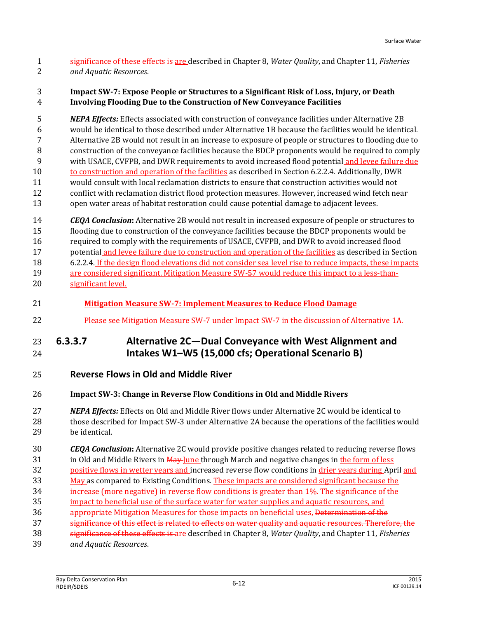significance of these effects is are described in Chapter 8, *Water Quality*, and Chapter 11, *Fisheries and Aquatic Resources*.

#### **Impact SW-7: Expose People or Structures to a Significant Risk of Loss, Injury, or Death Involving Flooding Due to the Construction of New Conveyance Facilities**

 *NEPA Effects:* Effects associated with construction of conveyance facilities under Alternative 2B would be identical to those described under Alternative 1B because the facilities would be identical. Alternative 2B would not result in an increase to exposure of people or structures to flooding due to construction of the conveyance facilities because the BDCP proponents would be required to comply with USACE, CVFPB, and DWR requirements to avoid increased flood potential and levee failure due to construction and operation of the facilities as described in Section 6.2.2.4. Additionally, DWR would consult with local reclamation districts to ensure that construction activities would not conflict with reclamation district flood protection measures. However, increased wind fetch near open water areas of habitat restoration could cause potential damage to adjacent levees.

 *CEQA Conclusion***:** Alternative 2B would not result in increased exposure of people or structures to flooding due to construction of the conveyance facilities because the BDCP proponents would be required to comply with the requirements of USACE, CVFPB, and DWR to avoid increased flood potential and levee failure due to construction and operation of the facilities as described in Section

 6.2.2.4. If the design flood elevations did not consider sea level rise to reduce impacts, these impacts are considered significant. Mitigation Measure SW-57 would reduce this impact to a less-than-

- significant level.
- **Mitigation Measure SW-7: Implement Measures to Reduce Flood Damage**
- Please see Mitigation Measure SW-7 under Impact SW-7 in the discussion of Alternative 1A.

## **6.3.3.7 Alternative 2C—Dual Conveyance with West Alignment and Intakes W1–W5 (15,000 cfs; Operational Scenario B)**

- **Reverse Flows in Old and Middle River**
- **Impact SW-3: Change in Reverse Flow Conditions in Old and Middle Rivers**

#### *NEPA Effects:* Effects on Old and Middle River flows under Alternative 2C would be identical to 28 those described for Impact SW-3 under Alternative 2A because the operations of the facilities would be identical.

 *CEQA Conclusion***:** Alternative 2C would provide positive changes related to reducing reverse flows 31 in Old and Middle Rivers in May June through March and negative changes in the form of less

- positive flows in wetter years and increased reverse flow conditions in drier years during April and
- 33 May as compared to Existing Conditions. These impacts are considered significant because the
- increase (more negative) in reverse flow conditions is greater than 1%. The significance of the
- impact to beneficial use of the surface water for water supplies and aquatic resources, and
- 36 appropriate Mitigation Measures for those impacts on beneficial uses, <del>Determination of the</del>
- 37 significance of this effect is related to effects on water quality and aquatic resources. Therefore, the
- significance of these effects is are described in Chapter 8, *Water Quality*, and Chapter 11, *Fisheries*
- *and Aquatic Resources*.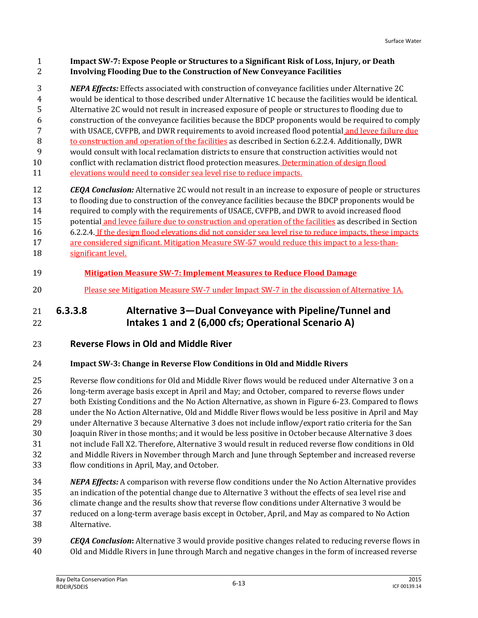#### **Impact SW-7: Expose People or Structures to a Significant Risk of Loss, Injury, or Death Involving Flooding Due to the Construction of New Conveyance Facilities**

*NEPA Effects:* Effects associated with construction of conveyance facilities under Alternative 2C

- would be identical to those described under Alternative 1C because the facilities would be identical. Alternative 2C would not result in increased exposure of people or structures to flooding due to
- construction of the conveyance facilities because the BDCP proponents would be required to comply
- with USACE, CVFPB, and DWR requirements to avoid increased flood potential and levee failure due
- to construction and operation of the facilities as described in Section 6.2.2.4. Additionally, DWR
- would consult with local reclamation districts to ensure that construction activities would not
- conflict with reclamation district flood protection measures. Determination of design flood
- elevations would need to consider sea level rise to reduce impacts.

 *CEQA Conclusion:* Alternative 2C would not result in an increase to exposure of people or structures to flooding due to construction of the conveyance facilities because the BDCP proponents would be required to comply with the requirements of USACE, CVFPB, and DWR to avoid increased flood potential and levee failure due to construction and operation of the facilities as described in Section 6.2.2.4. If the design flood elevations did not consider sea level rise to reduce impacts, these impacts are considered significant. Mitigation Measure SW-57 would reduce this impact to a less-than-significant level.

- **Mitigation Measure SW-7: Implement Measures to Reduce Flood Damage**
- Please see Mitigation Measure SW-7 under Impact SW-7 in the discussion of Alternative 1A.

## **6.3.3.8 Alternative 3—Dual Conveyance with Pipeline/Tunnel and Intakes 1 and 2 (6,000 cfs; Operational Scenario A)**

## **Reverse Flows in Old and Middle River**

## **Impact SW-3: Change in Reverse Flow Conditions in Old and Middle Rivers**

 Reverse flow conditions for Old and Middle River flows would be reduced under Alternative 3 on a long-term average basis except in April and May; and October, compared to reverse flows under both Existing Conditions and the No Action Alternative, as shown in Figure 6-23. Compared to flows under the No Action Alternative, Old and Middle River flows would be less positive in April and May under Alternative 3 because Alternative 3 does not include inflow/export ratio criteria for the San Joaquin River in those months; and it would be less positive in October because Alternative 3 does not include Fall X2. Therefore, Alternative 3 would result in reduced reverse flow conditions in Old and Middle Rivers in November through March and June through September and increased reverse flow conditions in April, May, and October.

- *NEPA Effects:* A comparison with reverse flow conditions under the No Action Alternative provides an indication of the potential change due to Alternative 3 without the effects of sea level rise and climate change and the results show that reverse flow conditions under Alternative 3 would be reduced on a long-term average basis except in October, April, and May as compared to No Action Alternative.
- *CEQA Conclusion***:** Alternative 3 would provide positive changes related to reducing reverse flows in Old and Middle Rivers in June through March and negative changes in the form of increased reverse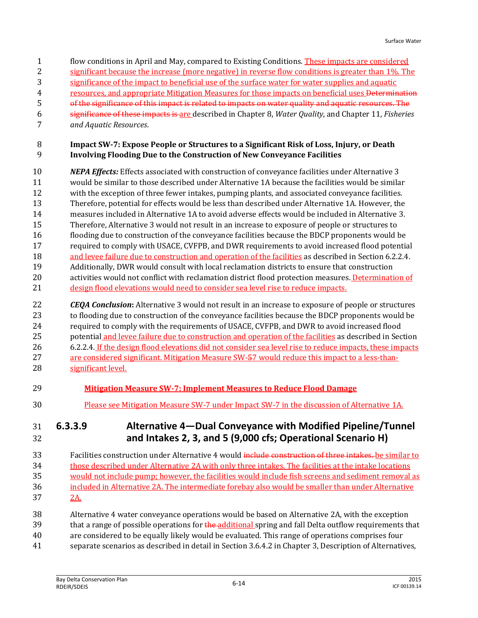- 1 flow conditions in April and May, compared to Existing Conditions. These impacts are considered
- significant because the increase (more negative) in reverse flow conditions is greater than 1%. The
- significance of the impact to beneficial use of the surface water for water supplies and aquatic
- resources, and appropriate Mitigation Measures for those impacts on beneficial uses Determination
- of the significance of this impact is related to impacts on water quality and aquatic resources. The
- significance of these impacts is are described in Chapter 8, *Water Quality*, and Chapter 11, *Fisheries*
- *and Aquatic Resources*.

#### **Impact SW-7: Expose People or Structures to a Significant Risk of Loss, Injury, or Death Involving Flooding Due to the Construction of New Conveyance Facilities**

 *NEPA Effects:* Effects associated with construction of conveyance facilities under Alternative 3 would be similar to those described under Alternative 1A because the facilities would be similar with the exception of three fewer intakes, pumping plants, and associated conveyance facilities. Therefore, potential for effects would be less than described under Alternative 1A. However, the measures included in Alternative 1A to avoid adverse effects would be included in Alternative 3. Therefore, Alternative 3 would not result in an increase to exposure of people or structures to flooding due to construction of the conveyance facilities because the BDCP proponents would be required to comply with USACE, CVFPB, and DWR requirements to avoid increased flood potential 18 and levee failure due to construction and operation of the facilities as described in Section 6.2.2.4. Additionally, DWR would consult with local reclamation districts to ensure that construction 20 activities would not conflict with reclamation district flood protection measures. Determination of design flood elevations would need to consider sea level rise to reduce impacts.

 *CEQA Conclusion***:** Alternative 3 would not result in an increase to exposure of people or structures to flooding due to construction of the conveyance facilities because the BDCP proponents would be required to comply with the requirements of USACE, CVFPB, and DWR to avoid increased flood 25 potential and levee failure due to construction and operation of the facilities as described in Section 6.2.2.4. If the design flood elevations did not consider sea level rise to reduce impacts, these impacts are considered significant. Mitigation Measure SW-57 would reduce this impact to a less-than-significant level.

- **Mitigation Measure SW-7: Implement Measures to Reduce Flood Damage**
- Please see Mitigation Measure SW-7 under Impact SW-7 in the discussion of Alternative 1A.

## **6.3.3.9 Alternative 4—Dual Conveyance with Modified Pipeline/Tunnel and Intakes 2, 3, and 5 (9,000 cfs; Operational Scenario H)**

33 Facilities construction under Alternative 4 would include construction of three intakes. be similar to those described under Alternative 2A with only three intakes. The facilities at the intake locations would not include pump; however, the facilities would include fish screens and sediment removal as included in Alternative 2A. The intermediate forebay also would be smaller than under Alternative 2A.

- Alternative 4 water conveyance operations would be based on Alternative 2A, with the exception 39 that a range of possible operations for the additional spring and fall Delta outflow requirements that
- are considered to be equally likely would be evaluated. This range of operations comprises four
- separate scenarios as described in detail in Section 3.6.4.2 in Chapter 3, Description of Alternatives,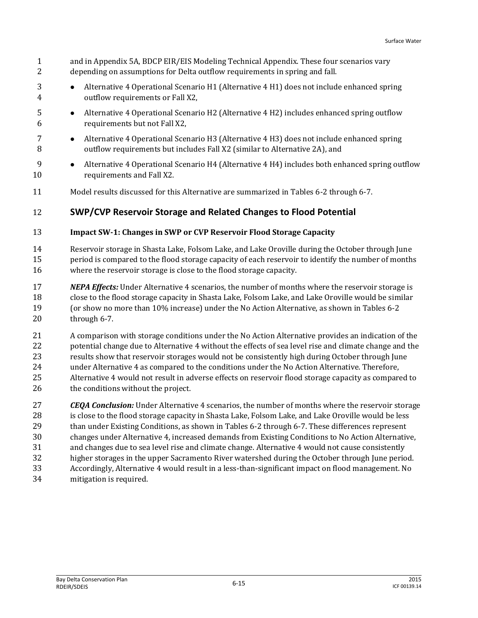- and in Appendix 5A, BDCP EIR/EIS Modeling Technical Appendix. These four scenarios vary depending on assumptions for Delta outflow requirements in spring and fall.
- 3 
Alternative 4 Operational Scenario H1 (Alternative 4 H1) does not include enhanced spring outflow requirements or Fall X2,
- **Alternative 4 Operational Scenario H2 (Alternative 4 H2) includes enhanced spring outflow** requirements but not Fall X2,
- **•** Alternative 4 Operational Scenario H3 (Alternative 4 H3) does not include enhanced spring outflow requirements but includes Fall X2 (similar to Alternative 2A), and
- 9 Alternative 4 Operational Scenario H4 (Alternative 4 H4) includes both enhanced spring outflow requirements and Fall X2.
- Model results discussed for this Alternative are summarized in Tables 6-2 through 6-7.

## **SWP/CVP Reservoir Storage and Related Changes to Flood Potential**

#### **Impact SW-1: Changes in SWP or CVP Reservoir Flood Storage Capacity**

 Reservoir storage in Shasta Lake, Folsom Lake, and Lake Oroville during the October through June period is compared to the flood storage capacity of each reservoir to identify the number of months where the reservoir storage is close to the flood storage capacity.

- *NEPA Effects:* Under Alternative 4 scenarios, the number of months where the reservoir storage is close to the flood storage capacity in Shasta Lake, Folsom Lake, and Lake Oroville would be similar (or show no more than 10% increase) under the No Action Alternative, as shown in Tables 6-2 through 6-7.
- A comparison with storage conditions under the No Action Alternative provides an indication of the 22 potential change due to Alternative 4 without the effects of sea level rise and climate change and the results show that reservoir storages would not be consistently high during October through June under Alternative 4 as compared to the conditions under the No Action Alternative. Therefore, Alternative 4 would not result in adverse effects on reservoir flood storage capacity as compared to 26 the conditions without the project.
- *CEQA Conclusion:* Under Alternative 4 scenarios, the number of months where the reservoir storage is close to the flood storage capacity in Shasta Lake, Folsom Lake, and Lake Oroville would be less than under Existing Conditions, as shown in Tables 6-2 through 6-7. These differences represent changes under Alternative 4, increased demands from Existing Conditions to No Action Alternative, and changes due to sea level rise and climate change. Alternative 4 would not cause consistently higher storages in the upper Sacramento River watershed during the October through June period. Accordingly, Alternative 4 would result in a less-than-significant impact on flood management. No
- mitigation is required.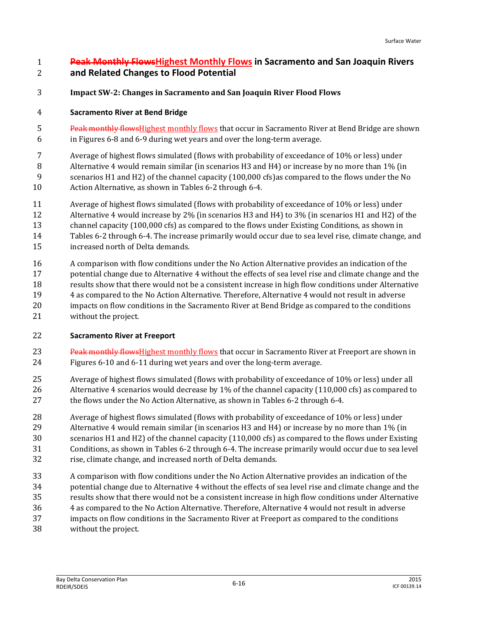## **Peak Monthly FlowsHighest Monthly Flows in Sacramento and San Joaquin Rivers and Related Changes to Flood Potential**

**Impact SW-2: Changes in Sacramento and San Joaquin River Flood Flows**

## **Sacramento River at Bend Bridge**

5 Peak monthly flows Highest monthly flows that occur in Sacramento River at Bend Bridge are shown in Figures 6-8 and 6-9 during wet years and over the long-term average.

Average of highest flows simulated (flows with probability of exceedance of 10% or less) under

Alternative 4 would remain similar (in scenarios H3 and H4) or increase by no more than 1% (in

- scenarios H1 and H2) of the channel capacity (100,000 cfs)as compared to the flows under the No
- Action Alternative, as shown in Tables 6-2 through 6-4.
- Average of highest flows simulated (flows with probability of exceedance of 10% or less) under
- Alternative 4 would increase by 2% (in scenarios H3 and H4) to 3% (in scenarios H1 and H2) of the
- channel capacity (100,000 cfs) as compared to the flows under Existing Conditions, as shown in
- Tables 6-2 through 6-4. The increase primarily would occur due to sea level rise, climate change, and
- increased north of Delta demands.
- A comparison with flow conditions under the No Action Alternative provides an indication of the potential change due to Alternative 4 without the effects of sea level rise and climate change and the results show that there would not be a consistent increase in high flow conditions under Alternative 4 as compared to the No Action Alternative. Therefore, Alternative 4 would not result in adverse impacts on flow conditions in the Sacramento River at Bend Bridge as compared to the conditions without the project.

## **Sacramento River at Freeport**

- 23 Peak monthly flows Highest monthly flows that occur in Sacramento River at Freeport are shown in Figures 6-10 and 6-11 during wet years and over the long-term average.
- Average of highest flows simulated (flows with probability of exceedance of 10% or less) under all 26 Alternative 4 scenarios would decrease by 1% of the channel capacity (110,000 cfs) as compared to the flows under the No Action Alternative, as shown in Tables 6-2 through 6-4.
- Average of highest flows simulated (flows with probability of exceedance of 10% or less) under Alternative 4 would remain similar (in scenarios H3 and H4) or increase by no more than 1% (in scenarios H1 and H2) of the channel capacity (110,000 cfs) as compared to the flows under Existing Conditions, as shown in Tables 6-2 through 6-4. The increase primarily would occur due to sea level rise, climate change, and increased north of Delta demands.
- A comparison with flow conditions under the No Action Alternative provides an indication of the
- potential change due to Alternative 4 without the effects of sea level rise and climate change and the
- results show that there would not be a consistent increase in high flow conditions under Alternative
- 4 as compared to the No Action Alternative. Therefore, Alternative 4 would not result in adverse
- impacts on flow conditions in the Sacramento River at Freeport as compared to the conditions
- without the project.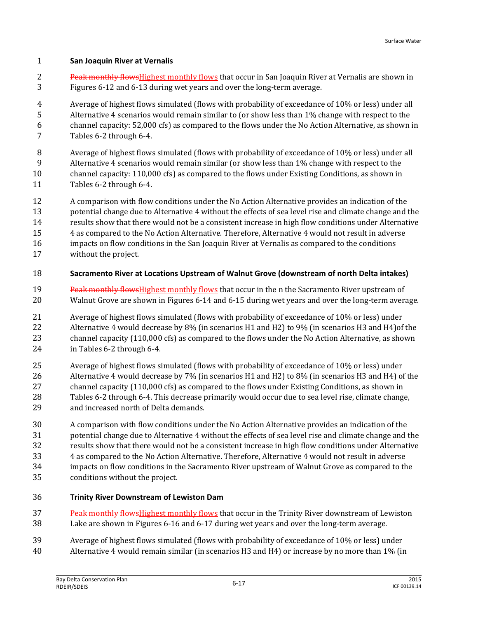#### **San Joaquin River at Vernalis**

2 Peak monthly flows Highest monthly flows that occur in San Joaquin River at Vernalis are shown in Figures 6-12 and 6-13 during wet years and over the long-term average.

 Average of highest flows simulated (flows with probability of exceedance of 10% or less) under all Alternative 4 scenarios would remain similar to (or show less than 1% change with respect to the channel capacity: 52,000 cfs) as compared to the flows under the No Action Alternative, as shown in Tables 6-2 through 6-4.

- Average of highest flows simulated (flows with probability of exceedance of 10% or less) under all
- Alternative 4 scenarios would remain similar (or show less than 1% change with respect to the
- channel capacity: 110,000 cfs) as compared to the flows under Existing Conditions, as shown in
- Tables 6-2 through 6-4.
- A comparison with flow conditions under the No Action Alternative provides an indication of the
- potential change due to Alternative 4 without the effects of sea level rise and climate change and the
- results show that there would not be a consistent increase in high flow conditions under Alternative
- 4 as compared to the No Action Alternative. Therefore, Alternative 4 would not result in adverse
- impacts on flow conditions in the San Joaquin River at Vernalis as compared to the conditions
- without the project.
- **Sacramento River at Locations Upstream of Walnut Grove (downstream of north Delta intakes)**
- 19 Peak monthly flows Highest monthly flows that occur in the n the Sacramento River upstream of Walnut Grove are shown in Figures 6-14 and 6-15 during wet years and over the long-term average.

 Average of highest flows simulated (flows with probability of exceedance of 10% or less) under Alternative 4 would decrease by 8% (in scenarios H1 and H2) to 9% (in scenarios H3 and H4)of the channel capacity (110,000 cfs) as compared to the flows under the No Action Alternative, as shown in Tables 6-2 through 6-4.

- Average of highest flows simulated (flows with probability of exceedance of 10% or less) under Alternative 4 would decrease by 7% (in scenarios H1 and H2) to 8% (in scenarios H3 and H4) of the channel capacity (110,000 cfs) as compared to the flows under Existing Conditions, as shown in Tables 6-2 through 6-4. This decrease primarily would occur due to sea level rise, climate change, and increased north of Delta demands.
- A comparison with flow conditions under the No Action Alternative provides an indication of the potential change due to Alternative 4 without the effects of sea level rise and climate change and the results show that there would not be a consistent increase in high flow conditions under Alternative 4 as compared to the No Action Alternative. Therefore, Alternative 4 would not result in adverse impacts on flow conditions in the Sacramento River upstream of Walnut Grove as compared to the conditions without the project.
- **Trinity River Downstream of Lewiston Dam**
- 37 Peak monthly flows Highest monthly flows that occur in the Trinity River downstream of Lewiston Lake are shown in Figures 6-16 and 6-17 during wet years and over the long-term average.
- Average of highest flows simulated (flows with probability of exceedance of 10% or less) under
- Alternative 4 would remain similar (in scenarios H3 and H4) or increase by no more than 1% (in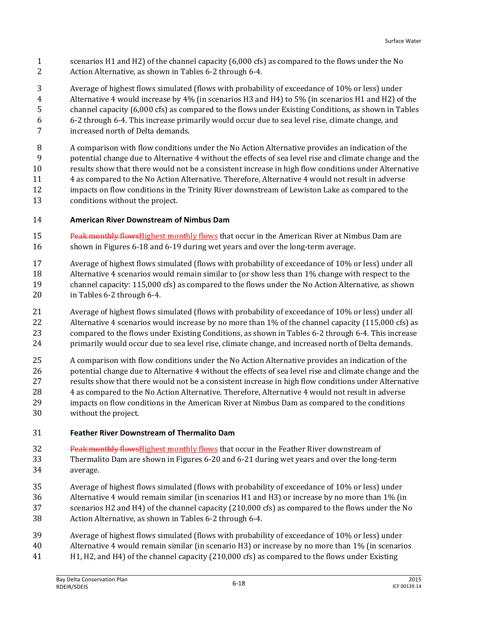- scenarios H1 and H2) of the channel capacity (6,000 cfs) as compared to the flows under the No Action Alternative, as shown in Tables 6-2 through 6-4.
- Average of highest flows simulated (flows with probability of exceedance of 10% or less) under Alternative 4 would increase by 4% (in scenarios H3 and H4) to 5% (in scenarios H1 and H2) of the channel capacity (6,000 cfs) as compared to the flows under Existing Conditions, as shown in Tables 6-2 through 6-4. This increase primarily would occur due to sea level rise, climate change, and increased north of Delta demands.

 A comparison with flow conditions under the No Action Alternative provides an indication of the potential change due to Alternative 4 without the effects of sea level rise and climate change and the results show that there would not be a consistent increase in high flow conditions under Alternative 4 as compared to the No Action Alternative. Therefore, Alternative 4 would not result in adverse impacts on flow conditions in the Trinity River downstream of Lewiston Lake as compared to the conditions without the project.

- **American River Downstream of Nimbus Dam**
- 15 Peak monthly flows Highest monthly flows that occur in the American River at Nimbus Dam are shown in Figures 6-18 and 6-19 during wet years and over the long-term average.
- Average of highest flows simulated (flows with probability of exceedance of 10% or less) under all Alternative 4 scenarios would remain similar to (or show less than 1% change with respect to the channel capacity: 115,000 cfs) as compared to the flows under the No Action Alternative, as shown in Tables 6-2 through 6-4.
- Average of highest flows simulated (flows with probability of exceedance of 10% or less) under all 22 Alternative 4 scenarios would increase by no more than 1% of the channel capacity (115,000 cfs) as compared to the flows under Existing Conditions, as shown in Tables 6-2 through 6-4. This increase primarily would occur due to sea level rise, climate change, and increased north of Delta demands.
- A comparison with flow conditions under the No Action Alternative provides an indication of the 26 potential change due to Alternative 4 without the effects of sea level rise and climate change and the results show that there would not be a consistent increase in high flow conditions under Alternative 4 as compared to the No Action Alternative. Therefore, Alternative 4 would not result in adverse impacts on flow conditions in the American River at Nimbus Dam as compared to the conditions without the project.
- **Feather River Downstream of Thermalito Dam**
- 32 Peak monthly flowsHighest monthly flows that occur in the Feather River downstream of Thermalito Dam are shown in Figures 6-20 and 6-21 during wet years and over the long-term average.
- Average of highest flows simulated (flows with probability of exceedance of 10% or less) under
- Alternative 4 would remain similar (in scenarios H1 and H3) or increase by no more than 1% (in scenarios H2 and H4) of the channel capacity (210,000 cfs) as compared to the flows under the No Action Alternative, as shown in Tables 6-2 through 6-4.
- Average of highest flows simulated (flows with probability of exceedance of 10% or less) under
- Alternative 4 would remain similar (in scenario H3) or increase by no more than 1% (in scenarios
- H1, H2, and H4) of the channel capacity (210,000 cfs) as compared to the flows under Existing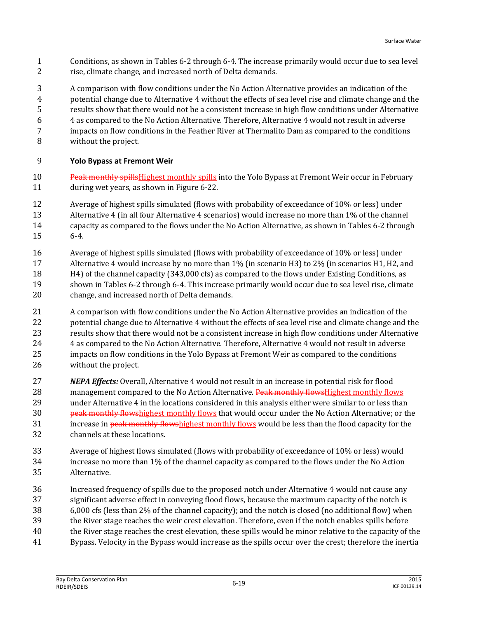- Conditions, as shown in Tables 6-2 through 6-4. The increase primarily would occur due to sea level rise, climate change, and increased north of Delta demands.
- A comparison with flow conditions under the No Action Alternative provides an indication of the potential change due to Alternative 4 without the effects of sea level rise and climate change and the results show that there would not be a consistent increase in high flow conditions under Alternative 4 as compared to the No Action Alternative. Therefore, Alternative 4 would not result in adverse impacts on flow conditions in the Feather River at Thermalito Dam as compared to the conditions without the project.

#### **Yolo Bypass at Fremont Weir**

- 10 Peak monthly spills Highest monthly spills into the Yolo Bypass at Fremont Weir occur in February during wet years, as shown in Figure 6-22.
- Average of highest spills simulated (flows with probability of exceedance of 10% or less) under
- Alternative 4 (in all four Alternative 4 scenarios) would increase no more than 1% of the channel
- capacity as compared to the flows under the No Action Alternative, as shown in Tables 6-2 through
- 6-4.
- Average of highest spills simulated (flows with probability of exceedance of 10% or less) under Alternative 4 would increase by no more than 1% (in scenario H3) to 2% (in scenarios H1, H2, and H4) of the channel capacity (343,000 cfs) as compared to the flows under Existing Conditions, as shown in Tables 6-2 through 6-4. This increase primarily would occur due to sea level rise, climate change, and increased north of Delta demands.
- A comparison with flow conditions under the No Action Alternative provides an indication of the potential change due to Alternative 4 without the effects of sea level rise and climate change and the results show that there would not be a consistent increase in high flow conditions under Alternative 4 as compared to the No Action Alternative. Therefore, Alternative 4 would not result in adverse impacts on flow conditions in the Yolo Bypass at Fremont Weir as compared to the conditions without the project.
- *NEPA Effects:* Overall, Alternative 4 would not result in an increase in potential risk for flood 28 management compared to the No Action Alternative. Peak monthly flows Highest monthly flows under Alternative 4 in the locations considered in this analysis either were similar to or less than **peak monthly flowshighest monthly flows that would occur under the No Action Alternative; or the** 31 increase in peak monthly flowshighest monthly flows would be less than the flood capacity for the channels at these locations.
- Average of highest flows simulated (flows with probability of exceedance of 10% or less) would increase no more than 1% of the channel capacity as compared to the flows under the No Action Alternative.
- Increased frequency of spills due to the proposed notch under Alternative 4 would not cause any
- significant adverse effect in conveying flood flows, because the maximum capacity of the notch is
- 6,000 cfs (less than 2% of the channel capacity); and the notch is closed (no additional flow) when
- the River stage reaches the weir crest elevation. Therefore, even if the notch enables spills before
- the River stage reaches the crest elevation, these spills would be minor relative to the capacity of the
- Bypass. Velocity in the Bypass would increase as the spills occur over the crest; therefore the inertia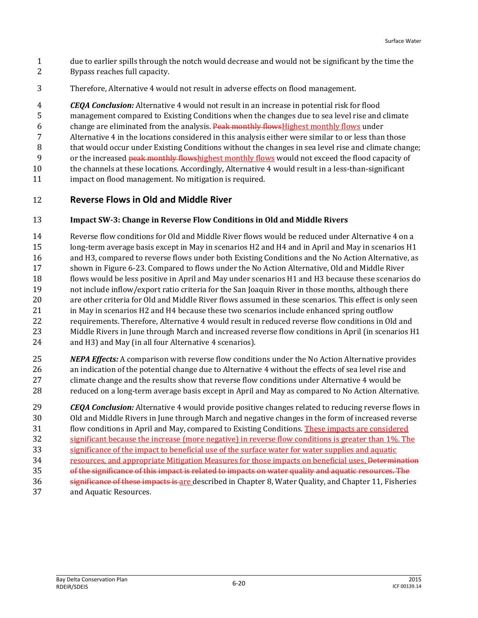- due to earlier spills through the notch would decrease and would not be significant by the time the Bypass reaches full capacity.
- Therefore, Alternative 4 would not result in adverse effects on flood management.

 *CEQA Conclusion:* Alternative 4 would not result in an increase in potential risk for flood management compared to Existing Conditions when the changes due to sea level rise and climate

6 change are eliminated from the analysis. Peak monthly flowsHighest monthly flows under

- Alternative 4 in the locations considered in this analysis either were similar to or less than those
- 8 that would occur under Existing Conditions without the changes in sea level rise and climate change;

9 or the increased peak monthly flowshighest monthly flows would not exceed the flood capacity of

- the channels at these locations. Accordingly, Alternative 4 would result in a less-than-significant
- impact on flood management. No mitigation is required.

## **Reverse Flows in Old and Middle River**

## **Impact SW-3: Change in Reverse Flow Conditions in Old and Middle Rivers**

 Reverse flow conditions for Old and Middle River flows would be reduced under Alternative 4 on a long-term average basis except in May in scenarios H2 and H4 and in April and May in scenarios H1 and H3, compared to reverse flows under both Existing Conditions and the No Action Alternative, as shown in Figure 6-23. Compared to flows under the No Action Alternative, Old and Middle River flows would be less positive in April and May under scenarios H1 and H3 because these scenarios do not include inflow/export ratio criteria for the San Joaquin River in those months, although there are other criteria for Old and Middle River flows assumed in these scenarios. This effect is only seen 21 in May in scenarios H2 and H4 because these two scenarios include enhanced spring outflow requirements. Therefore, Alternative 4 would result in reduced reverse flow conditions in Old and Middle Rivers in June through March and increased reverse flow conditions in April (in scenarios H1 and H3) and May (in all four Alternative 4 scenarios).

 *NEPA Effects:* A comparison with reverse flow conditions under the No Action Alternative provides an indication of the potential change due to Alternative 4 without the effects of sea level rise and climate change and the results show that reverse flow conditions under Alternative 4 would be reduced on a long-term average basis except in April and May as compared to No Action Alternative.

 *CEQA Conclusion:* Alternative 4 would provide positive changes related to reducing reverse flows in Old and Middle Rivers in June through March and negative changes in the form of increased reverse flow conditions in April and May, compared to Existing Conditions. These impacts are considered significant because the increase (more negative) in reverse flow conditions is greater than 1%. The significance of the impact to beneficial use of the surface water for water supplies and aquatic 34 resources, and appropriate Mitigation Measures for those impacts on beneficial uses, <del>Determination</del>

- of the significance of this impact is related to impacts on water quality and aquatic resources. The significance of these impacts is are described in Chapter 8, Water Quality, and Chapter 11, Fisheries
- and Aquatic Resources.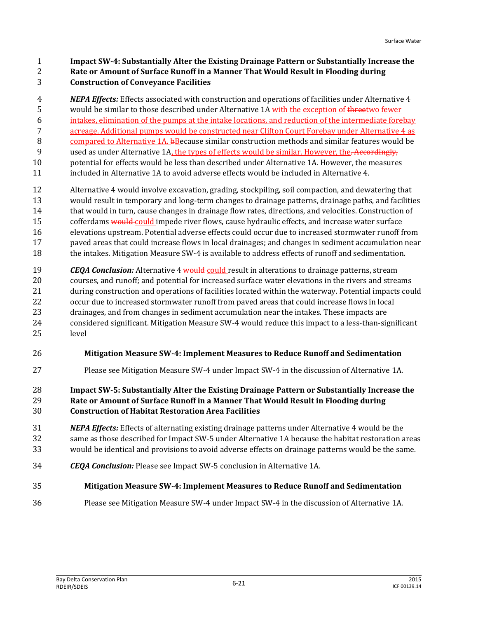**Impact SW-4: Substantially Alter the Existing Drainage Pattern or Substantially Increase the Rate or Amount of Surface Runoff in a Manner That Would Result in Flooding during**

**Construction of Conveyance Facilities**

 *NEPA Effects:* Effects associated with construction and operations of facilities under Alternative 4 5 would be similar to those described under Alternative 1A with the exception of the esterm fewer intakes, elimination of the pumps at the intake locations, and reduction of the intermediate forebay acreage. Additional pumps would be constructed near Clifton Court Forebay under Alternative 4 as 8 compared to Alternative 1A. bBecause similar construction methods and similar features would be 9 used as under Alternative 1A, the types of effects would be similar. However, the. Accordingly, potential for effects would be less than described under Alternative 1A. However, the measures included in Alternative 1A to avoid adverse effects would be included in Alternative 4.

- Alternative 4 would involve excavation, grading, stockpiling, soil compaction, and dewatering that would result in temporary and long-term changes to drainage patterns, drainage paths, and facilities that would in turn, cause changes in drainage flow rates, directions, and velocities. Construction of 15 cofferdams would could impede river flows, cause hydraulic effects, and increase water surface elevations upstream. Potential adverse effects could occur due to increased stormwater runoff from paved areas that could increase flows in local drainages; and changes in sediment accumulation near the intakes. Mitigation Measure SW-4 is available to address effects of runoff and sedimentation.
- **CEOA Conclusion:** Alternative 4 would could result in alterations to drainage patterns, stream courses, and runoff; and potential for increased surface water elevations in the rivers and streams during construction and operations of facilities located within the waterway. Potential impacts could occur due to increased stormwater runoff from paved areas that could increase flows in local drainages, and from changes in sediment accumulation near the intakes. These impacts are considered significant. Mitigation Measure SW-4 would reduce this impact to a less-than-significant level
- **Mitigation Measure SW-4: Implement Measures to Reduce Runoff and Sedimentation**
- Please see Mitigation Measure SW-4 under Impact SW-4 in the discussion of Alternative 1A.

#### **Impact SW-5: Substantially Alter the Existing Drainage Pattern or Substantially Increase the Rate or Amount of Surface Runoff in a Manner That Would Result in Flooding during Construction of Habitat Restoration Area Facilities**

- *NEPA Effects:* Effects of alternating existing drainage patterns under Alternative 4 would be the same as those described for Impact SW-5 under Alternative 1A because the habitat restoration areas would be identical and provisions to avoid adverse effects on drainage patterns would be the same.
- *CEQA Conclusion:* Please see Impact SW-5 conclusion in Alternative 1A.
- **Mitigation Measure SW-4: Implement Measures to Reduce Runoff and Sedimentation**
- Please see Mitigation Measure SW-4 under Impact SW-4 in the discussion of Alternative 1A.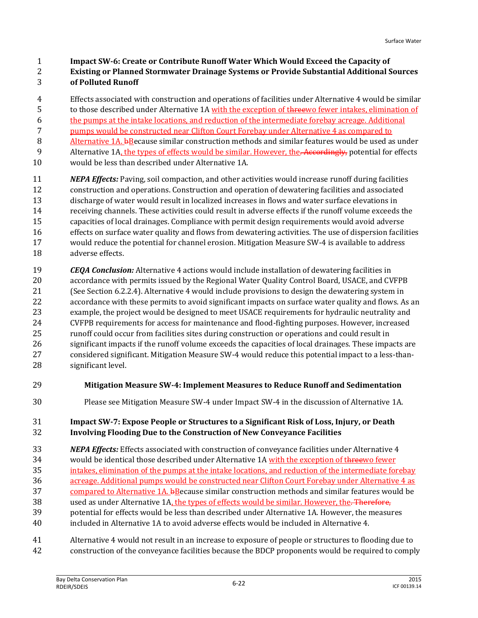**Impact SW-6: Create or Contribute Runoff Water Which Would Exceed the Capacity of**

- **Existing or Planned Stormwater Drainage Systems or Provide Substantial Additional Sources of Polluted Runoff**
- Effects associated with construction and operations of facilities under Alternative 4 would be similar
- to those described under Alternative 1A with the exception of threewo fewer intakes, elimination of
- the pumps at the intake locations, and reduction of the intermediate forebay acreage. Additional
- pumps would be constructed near Clifton Court Forebay under Alternative 4 as compared to
- Alternative 1A. bBecause similar construction methods and similar features would be used as under 9 Alternative 1A, the types of effects would be similar. However, the. Accordingly, potential for effects
- 
- would be less than described under Alternative 1A.
- *NEPA Effects:* Paving, soil compaction, and other activities would increase runoff during facilities construction and operations. Construction and operation of dewatering facilities and associated discharge of water would result in localized increases in flows and water surface elevations in receiving channels. These activities could result in adverse effects if the runoff volume exceeds the capacities of local drainages. Compliance with permit design requirements would avoid adverse effects on surface water quality and flows from dewatering activities. The use of dispersion facilities would reduce the potential for channel erosion. Mitigation Measure SW-4 is available to address adverse effects.
- *CEQA Conclusion:* Alternative 4 actions would include installation of dewatering facilities in accordance with permits issued by the Regional Water Quality Control Board, USACE, and CVFPB (See Section 6.2.2.4). Alternative 4 would include provisions to design the dewatering system in accordance with these permits to avoid significant impacts on surface water quality and flows. As an example, the project would be designed to meet USACE requirements for hydraulic neutrality and CVFPB requirements for access for maintenance and flood-fighting purposes. However, increased runoff could occur from facilities sites during construction or operations and could result in significant impacts if the runoff volume exceeds the capacities of local drainages. These impacts are considered significant. Mitigation Measure SW-4 would reduce this potential impact to a less-than-significant level.
- **Mitigation Measure SW-4: Implement Measures to Reduce Runoff and Sedimentation**
- Please see Mitigation Measure SW-4 under Impact SW-4 in the discussion of Alternative 1A.

## **Impact SW-7: Expose People or Structures to a Significant Risk of Loss, Injury, or Death Involving Flooding Due to the Construction of New Conveyance Facilities**

- *NEPA Effects:* Effects associated with construction of conveyance facilities under Alternative 4 34 would be identical those described under Alternative 1A with the exception of threewo fewer intakes, elimination of the pumps at the intake locations, and reduction of the intermediate forebay 36 acreage. Additional pumps would be constructed near Clifton Court Forebay under Alternative 4 as 37 compared to Alternative 1A. bBecause similar construction methods and similar features would be 38 used as under Alternative 1A, the types of effects would be similar. However, the. Therefore, potential for effects would be less than described under Alternative 1A. However, the measures
- included in Alternative 1A to avoid adverse effects would be included in Alternative 4.
- Alternative 4 would not result in an increase to exposure of people or structures to flooding due to
- construction of the conveyance facilities because the BDCP proponents would be required to comply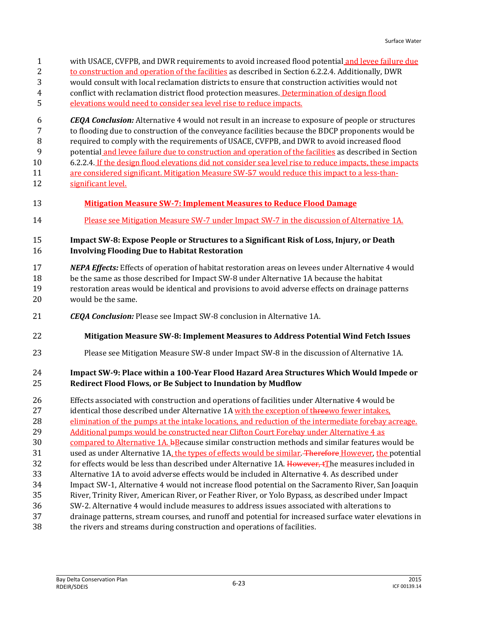with USACE, CVFPB, and DWR requirements to avoid increased flood potential and levee failure due to construction and operation of the facilities as described in Section 6.2.2.4. Additionally, DWR would consult with local reclamation districts to ensure that construction activities would not conflict with reclamation district flood protection measures. Determination of design flood elevations would need to consider sea level rise to reduce impacts. *CEQA Conclusion:* Alternative 4 would not result in an increase to exposure of people or structures to flooding due to construction of the conveyance facilities because the BDCP proponents would be required to comply with the requirements of USACE, CVFPB, and DWR to avoid increased flood potential and levee failure due to construction and operation of the facilities as described in Section 6.2.2.4. If the design flood elevations did not consider sea level rise to reduce impacts, these impacts are considered significant. Mitigation Measure SW-57 would reduce this impact to a less-than-12 significant level. **Mitigation Measure SW-7: Implement Measures to Reduce Flood Damage** Please see Mitigation Measure SW-7 under Impact SW-7 in the discussion of Alternative 1A. **Impact SW-8: Expose People or Structures to a Significant Risk of Loss, Injury, or Death Involving Flooding Due to Habitat Restoration** *NEPA Effects:* Effects of operation of habitat restoration areas on levees under Alternative 4 would be the same as those described for Impact SW-8 under Alternative 1A because the habitat restoration areas would be identical and provisions to avoid adverse effects on drainage patterns would be the same. *CEQA Conclusion:* Please see Impact SW-8 conclusion in Alternative 1A. **Mitigation Measure SW-8: Implement Measures to Address Potential Wind Fetch Issues** Please see Mitigation Measure SW-8 under Impact SW-8 in the discussion of Alternative 1A. **Impact SW-9: Place within a 100-Year Flood Hazard Area Structures Which Would Impede or Redirect Flood Flows, or Be Subject to Inundation by Mudflow** Effects associated with construction and operations of facilities under Alternative 4 would be 27 identical those described under Alternative 1A with the exception of threewo fewer intakes, elimination of the pumps at the intake locations, and reduction of the intermediate forebay acreage. 29 Additional pumps would be constructed near Clifton Court Forebay under Alternative 4 as 30 compared to Alternative 1A. bBecause similar construction methods and similar features would be 31 used as under Alternative 1A, the types of effects would be similar. Therefore However, the potential 32 for effects would be less than described under Alternative 1A. However, the measures included in Alternative 1A to avoid adverse effects would be included in Alternative 4. As described under Impact SW-1, Alternative 4 would not increase flood potential on the Sacramento River, San Joaquin River, Trinity River, American River, or Feather River, or Yolo Bypass, as described under Impact SW-2. Alternative 4 would include measures to address issues associated with alterations to drainage patterns, stream courses, and runoff and potential for increased surface water elevations in the rivers and streams during construction and operations of facilities.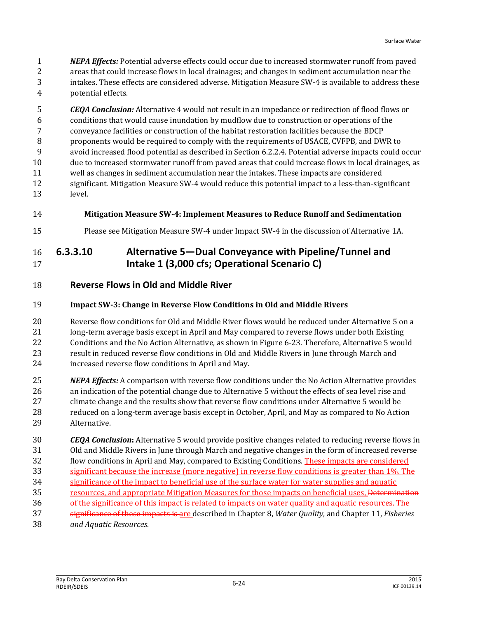*NEPA Effects:* Potential adverse effects could occur due to increased stormwater runoff from paved areas that could increase flows in local drainages; and changes in sediment accumulation near the intakes. These effects are considered adverse. Mitigation Measure SW-4 is available to address these potential effects.

 *CEQA Conclusion:* Alternative 4 would not result in an impedance or redirection of flood flows or conditions that would cause inundation by mudflow due to construction or operations of the conveyance facilities or construction of the habitat restoration facilities because the BDCP proponents would be required to comply with the requirements of USACE, CVFPB, and DWR to avoid increased flood potential as described in Section 6.2.2.4. Potential adverse impacts could occur due to increased stormwater runoff from paved areas that could increase flows in local drainages, as well as changes in sediment accumulation near the intakes. These impacts are considered significant. Mitigation Measure SW-4 would reduce this potential impact to a less-than-significant level.

- **Mitigation Measure SW-4: Implement Measures to Reduce Runoff and Sedimentation**
- Please see Mitigation Measure SW-4 under Impact SW-4 in the discussion of Alternative 1A.

## **6.3.3.10 Alternative 5—Dual Conveyance with Pipeline/Tunnel and Intake 1 (3,000 cfs; Operational Scenario C)**

**Reverse Flows in Old and Middle River**

## **Impact SW-3: Change in Reverse Flow Conditions in Old and Middle Rivers**

 Reverse flow conditions for Old and Middle River flows would be reduced under Alternative 5 on a long-term average basis except in April and May compared to reverse flows under both Existing Conditions and the No Action Alternative, as shown in Figure 6-23. Therefore, Alternative 5 would result in reduced reverse flow conditions in Old and Middle Rivers in June through March and increased reverse flow conditions in April and May.

- *NEPA Effects:* A comparison with reverse flow conditions under the No Action Alternative provides an indication of the potential change due to Alternative 5 without the effects of sea level rise and climate change and the results show that reverse flow conditions under Alternative 5 would be reduced on a long-term average basis except in October, April, and May as compared to No Action Alternative.
- *CEQA Conclusion***:** Alternative 5 would provide positive changes related to reducing reverse flows in Old and Middle Rivers in June through March and negative changes in the form of increased reverse flow conditions in April and May, compared to Existing Conditions. These impacts are considered significant because the increase (more negative) in reverse flow conditions is greater than 1%. The significance of the impact to beneficial use of the surface water for water supplies and aquatic
- 35 resources, and appropriate Mitigation Measures for those impacts on beneficial uses, Determination
- of the significance of this impact is related to impacts on water quality and aquatic resources. The
- significance of these impacts is are described in Chapter 8, *Water Quality*, and Chapter 11, *Fisheries*
- *and Aquatic Resources*.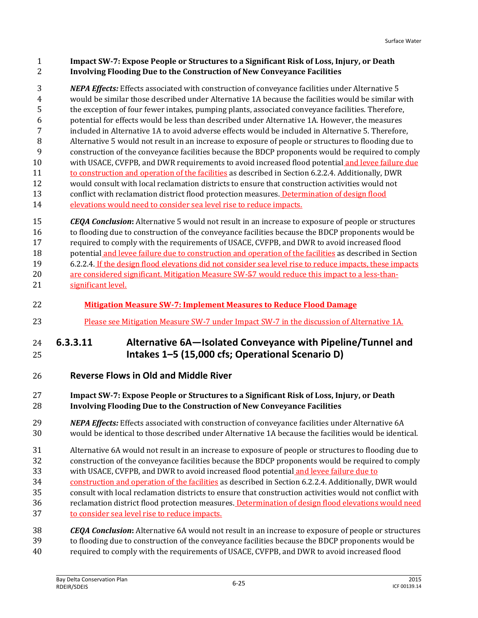#### **Impact SW-7: Expose People or Structures to a Significant Risk of Loss, Injury, or Death Involving Flooding Due to the Construction of New Conveyance Facilities**

 *NEPA Effects:* Effects associated with construction of conveyance facilities under Alternative 5 would be similar those described under Alternative 1A because the facilities would be similar with the exception of four fewer intakes, pumping plants, associated conveyance facilities. Therefore, potential for effects would be less than described under Alternative 1A. However, the measures included in Alternative 1A to avoid adverse effects would be included in Alternative 5. Therefore, Alternative 5 would not result in an increase to exposure of people or structures to flooding due to construction of the conveyance facilities because the BDCP proponents would be required to comply with USACE, CVFPB, and DWR requirements to avoid increased flood potential and levee failure due to construction and operation of the facilities as described in Section 6.2.2.4. Additionally, DWR would consult with local reclamation districts to ensure that construction activities would not 13 conflict with reclamation district flood protection measures. Determination of design flood 14 elevations would need to consider sea level rise to reduce impacts.

 *CEQA Conclusion***:** Alternative 5 would not result in an increase to exposure of people or structures to flooding due to construction of the conveyance facilities because the BDCP proponents would be required to comply with the requirements of USACE, CVFPB, and DWR to avoid increased flood potential and levee failure due to construction and operation of the facilities as described in Section 6.2.2.4. If the design flood elevations did not consider sea level rise to reduce impacts, these impacts

20 are considered significant. Mitigation Measure SW-57 would reduce this impact to a less-than-significant level.

- **Mitigation Measure SW-7: Implement Measures to Reduce Flood Damage**
- 23 Please see Mitigation Measure SW-7 under Impact SW-7 in the discussion of Alternative 1A.

## **6.3.3.11 Alternative 6A—Isolated Conveyance with Pipeline/Tunnel and Intakes 1–5 (15,000 cfs; Operational Scenario D)**

**Reverse Flows in Old and Middle River**

## **Impact SW-7: Expose People or Structures to a Significant Risk of Loss, Injury, or Death Involving Flooding Due to the Construction of New Conveyance Facilities**

 *NEPA Effects:* Effects associated with construction of conveyance facilities under Alternative 6A would be identical to those described under Alternative 1A because the facilities would be identical.

 Alternative 6A would not result in an increase to exposure of people or structures to flooding due to construction of the conveyance facilities because the BDCP proponents would be required to comply

- with USACE, CVFPB, and DWR to avoid increased flood potential and levee failure due to
- construction and operation of the facilities as described in Section 6.2.2.4. Additionally, DWR would
- consult with local reclamation districts to ensure that construction activities would not conflict with
- reclamation district flood protection measures. Determination of design flood elevations would need to consider sea level rise to reduce impacts.
- *CEQA Conclusion***:** Alternative 6A would not result in an increase to exposure of people or structures
- to flooding due to construction of the conveyance facilities because the BDCP proponents would be
- required to comply with the requirements of USACE, CVFPB, and DWR to avoid increased flood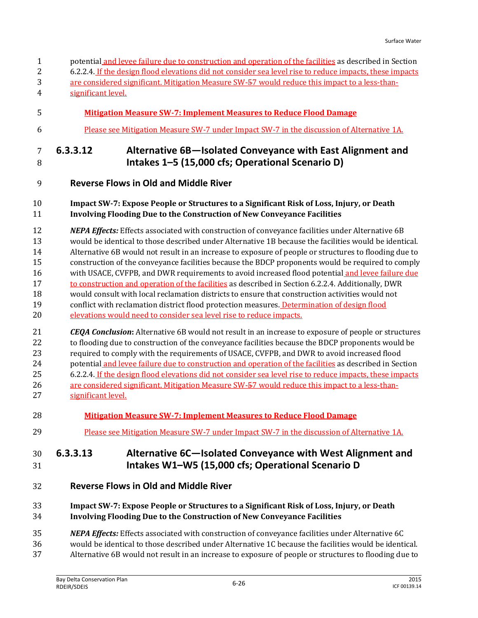| $\overline{2}$<br>3<br>4                           | 6.2.2.4. If the design flood elevations did not consider sea level rise to reduce impacts, these impacts<br>are considered significant. Mitigation Measure SW-57 would reduce this impact to a less-than-<br>significant level.                                                                                                                                                                                                                                                                                                                                                                                                                                                                                                                                                                                                                                                                                   |
|----------------------------------------------------|-------------------------------------------------------------------------------------------------------------------------------------------------------------------------------------------------------------------------------------------------------------------------------------------------------------------------------------------------------------------------------------------------------------------------------------------------------------------------------------------------------------------------------------------------------------------------------------------------------------------------------------------------------------------------------------------------------------------------------------------------------------------------------------------------------------------------------------------------------------------------------------------------------------------|
| 5                                                  | <b>Mitigation Measure SW-7: Implement Measures to Reduce Flood Damage</b>                                                                                                                                                                                                                                                                                                                                                                                                                                                                                                                                                                                                                                                                                                                                                                                                                                         |
| 6                                                  | Please see Mitigation Measure SW-7 under Impact SW-7 in the discussion of Alternative 1A.                                                                                                                                                                                                                                                                                                                                                                                                                                                                                                                                                                                                                                                                                                                                                                                                                         |
| $\overline{7}$<br>8                                | Alternative 6B-Isolated Conveyance with East Alignment and<br>6.3.3.12<br>Intakes 1-5 (15,000 cfs; Operational Scenario D)                                                                                                                                                                                                                                                                                                                                                                                                                                                                                                                                                                                                                                                                                                                                                                                        |
| 9                                                  | <b>Reverse Flows in Old and Middle River</b>                                                                                                                                                                                                                                                                                                                                                                                                                                                                                                                                                                                                                                                                                                                                                                                                                                                                      |
| 10<br>11                                           | Impact SW-7: Expose People or Structures to a Significant Risk of Loss, Injury, or Death<br>Involving Flooding Due to the Construction of New Conveyance Facilities                                                                                                                                                                                                                                                                                                                                                                                                                                                                                                                                                                                                                                                                                                                                               |
| 12<br>13<br>14<br>15<br>16<br>17<br>18<br>19<br>20 | <b>NEPA Effects:</b> Effects associated with construction of conveyance facilities under Alternative 6B<br>would be identical to those described under Alternative 1B because the facilities would be identical.<br>Alternative 6B would not result in an increase to exposure of people or structures to flooding due to<br>construction of the conveyance facilities because the BDCP proponents would be required to comply<br>with USACE, CVFPB, and DWR requirements to avoid increased flood potential and levee failure due<br>to construction and operation of the facilities as described in Section 6.2.2.4. Additionally, DWR<br>would consult with local reclamation districts to ensure that construction activities would not<br>conflict with reclamation district flood protection measures. Determination of design flood<br>elevations would need to consider sea level rise to reduce impacts. |
| 21<br>22<br>23<br>24<br>25<br>26<br>27             | <b>CEQA Conclusion:</b> Alternative 6B would not result in an increase to exposure of people or structures<br>to flooding due to construction of the conveyance facilities because the BDCP proponents would be<br>required to comply with the requirements of USACE, CVFPB, and DWR to avoid increased flood<br>potential and levee failure due to construction and operation of the facilities as described in Section<br>6.2.2.4. If the design flood elevations did not consider sea level rise to reduce impacts, these impacts<br>are considered significant. Mitigation Measure SW-57 would reduce this impact to a less-than-<br>significant level.                                                                                                                                                                                                                                                       |
| 28                                                 | <b>Mitigation Measure SW-7: Implement Measures to Reduce Flood Damage</b>                                                                                                                                                                                                                                                                                                                                                                                                                                                                                                                                                                                                                                                                                                                                                                                                                                         |
| 29                                                 | <u>Please see Mitigation Measure SW-7 under Impact SW-7 in the discussion of Alternative 1A.</u>                                                                                                                                                                                                                                                                                                                                                                                                                                                                                                                                                                                                                                                                                                                                                                                                                  |
| 30<br>31                                           | 6.3.3.13<br>Alternative 6C-Isolated Conveyance with West Alignment and<br>Intakes W1-W5 (15,000 cfs; Operational Scenario D                                                                                                                                                                                                                                                                                                                                                                                                                                                                                                                                                                                                                                                                                                                                                                                       |
| 32                                                 | <b>Reverse Flows in Old and Middle River</b>                                                                                                                                                                                                                                                                                                                                                                                                                                                                                                                                                                                                                                                                                                                                                                                                                                                                      |
| 33<br>34                                           | Impact SW-7: Expose People or Structures to a Significant Risk of Loss, Injury, or Death<br>Involving Flooding Due to the Construction of New Conveyance Facilities                                                                                                                                                                                                                                                                                                                                                                                                                                                                                                                                                                                                                                                                                                                                               |
| 35<br>36<br>37                                     | <b>NEPA Effects:</b> Effects associated with construction of conveyance facilities under Alternative 6C<br>would be identical to those described under Alternative 1C because the facilities would be identical.<br>Alternative 6B would not result in an increase to exposure of people or structures to flooding due to                                                                                                                                                                                                                                                                                                                                                                                                                                                                                                                                                                                         |

1 potential and levee failure due to construction and operation of the facilities as described in Section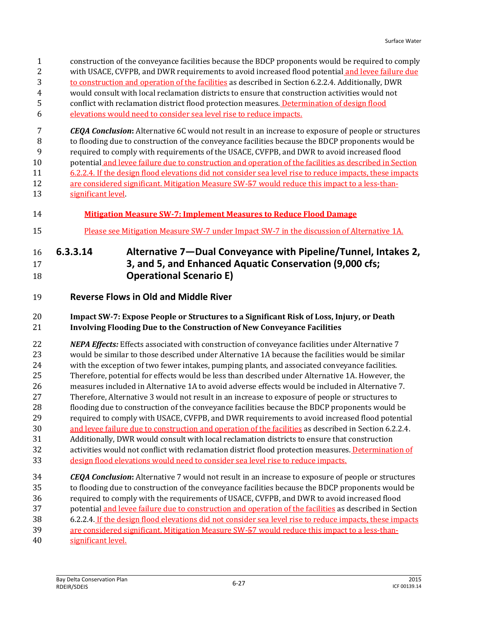- construction of the conveyance facilities because the BDCP proponents would be required to comply with USACE, CVFPB, and DWR requirements to avoid increased flood potential and levee failure due to construction and operation of the facilities as described in Section 6.2.2.4. Additionally, DWR would consult with local reclamation districts to ensure that construction activities would not conflict with reclamation district flood protection measures. Determination of design flood elevations would need to consider sea level rise to reduce impacts. *CEQA Conclusion***:** Alternative 6C would not result in an increase to exposure of people or structures to flooding due to construction of the conveyance facilities because the BDCP proponents would be required to comply with requirements of the USACE, CVFPB, and DWR to avoid increased flood potential and levee failure due to construction and operation of the facilities as described in Section 6.2.2.4. If the design flood elevations did not consider sea level rise to reduce impacts, these impacts are considered significant. Mitigation Measure SW-57 would reduce this impact to a less-than- significant level. **Mitigation Measure SW-7: Implement Measures to Reduce Flood Damage** Please see Mitigation Measure SW-7 under Impact SW-7 in the discussion of Alternative 1A. **6.3.3.14 Alternative 7—Dual Conveyance with Pipeline/Tunnel, Intakes 2, 3, and 5, and Enhanced Aquatic Conservation (9,000 cfs; Operational Scenario E)**
- **Reverse Flows in Old and Middle River**

## **Impact SW-7: Expose People or Structures to a Significant Risk of Loss, Injury, or Death Involving Flooding Due to the Construction of New Conveyance Facilities**

 *NEPA Effects:* Effects associated with construction of conveyance facilities under Alternative 7 would be similar to those described under Alternative 1A because the facilities would be similar with the exception of two fewer intakes, pumping plants, and associated conveyance facilities. Therefore, potential for effects would be less than described under Alternative 1A. However, the measures included in Alternative 1A to avoid adverse effects would be included in Alternative 7. Therefore, Alternative 3 would not result in an increase to exposure of people or structures to flooding due to construction of the conveyance facilities because the BDCP proponents would be required to comply with USACE, CVFPB, and DWR requirements to avoid increased flood potential and levee failure due to construction and operation of the facilities as described in Section 6.2.2.4. Additionally, DWR would consult with local reclamation districts to ensure that construction activities would not conflict with reclamation district flood protection measures. Determination of design flood elevations would need to consider sea level rise to reduce impacts. *CEQA Conclusion***:** Alternative 7 would not result in an increase to exposure of people or structures

- to flooding due to construction of the conveyance facilities because the BDCP proponents would be required to comply with the requirements of USACE, CVFPB, and DWR to avoid increased flood
- potential and levee failure due to construction and operation of the facilities as described in Section
- 6.2.2.4. If the design flood elevations did not consider sea level rise to reduce impacts, these impacts
- are considered significant. Mitigation Measure SW-57 would reduce this impact to a less-than-
- significant level.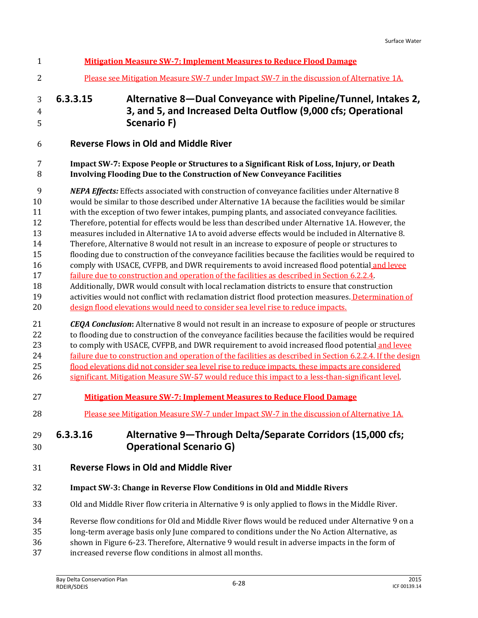| $\mathbf{1}$                                                        | <b>Mitigation Measure SW-7: Implement Measures to Reduce Flood Damage</b>                                                                                                                                                                                                                                                                                                                                                                                                                                                                                                                                                                                                                                                                                                                                                                                                                                                                                                                                                                                                                                                                                                                                                  |
|---------------------------------------------------------------------|----------------------------------------------------------------------------------------------------------------------------------------------------------------------------------------------------------------------------------------------------------------------------------------------------------------------------------------------------------------------------------------------------------------------------------------------------------------------------------------------------------------------------------------------------------------------------------------------------------------------------------------------------------------------------------------------------------------------------------------------------------------------------------------------------------------------------------------------------------------------------------------------------------------------------------------------------------------------------------------------------------------------------------------------------------------------------------------------------------------------------------------------------------------------------------------------------------------------------|
| 2                                                                   | Please see Mitigation Measure SW-7 under Impact SW-7 in the discussion of Alternative 1A.                                                                                                                                                                                                                                                                                                                                                                                                                                                                                                                                                                                                                                                                                                                                                                                                                                                                                                                                                                                                                                                                                                                                  |
| 3<br>$\overline{4}$<br>5                                            | Alternative 8-Dual Conveyance with Pipeline/Tunnel, Intakes 2,<br>6.3.3.15<br>3, and 5, and Increased Delta Outflow (9,000 cfs; Operational<br><b>Scenario F)</b>                                                                                                                                                                                                                                                                                                                                                                                                                                                                                                                                                                                                                                                                                                                                                                                                                                                                                                                                                                                                                                                          |
| 6                                                                   | <b>Reverse Flows in Old and Middle River</b>                                                                                                                                                                                                                                                                                                                                                                                                                                                                                                                                                                                                                                                                                                                                                                                                                                                                                                                                                                                                                                                                                                                                                                               |
| 7<br>8                                                              | Impact SW-7: Expose People or Structures to a Significant Risk of Loss, Injury, or Death<br><b>Involving Flooding Due to the Construction of New Conveyance Facilities</b>                                                                                                                                                                                                                                                                                                                                                                                                                                                                                                                                                                                                                                                                                                                                                                                                                                                                                                                                                                                                                                                 |
| 9<br>10<br>11<br>12<br>13<br>14<br>15<br>16<br>17<br>18<br>19<br>20 | <b>NEPA Effects:</b> Effects associated with construction of conveyance facilities under Alternative 8<br>would be similar to those described under Alternative 1A because the facilities would be similar<br>with the exception of two fewer intakes, pumping plants, and associated conveyance facilities.<br>Therefore, potential for effects would be less than described under Alternative 1A. However, the<br>measures included in Alternative 1A to avoid adverse effects would be included in Alternative 8.<br>Therefore, Alternative 8 would not result in an increase to exposure of people or structures to<br>flooding due to construction of the conveyance facilities because the facilities would be required to<br>comply with USACE, CVFPB, and DWR requirements to avoid increased flood potential and levee<br>failure due to construction and operation of the facilities as described in Section 6.2.2.4.<br>Additionally, DWR would consult with local reclamation districts to ensure that construction<br>activities would not conflict with reclamation district flood protection measures. Determination of<br>design flood elevations would need to consider sea level rise to reduce impacts. |
| 21<br>22<br>23<br>24<br>25<br>26                                    | <b>CEQA Conclusion:</b> Alternative 8 would not result in an increase to exposure of people or structures<br>to flooding due to construction of the conveyance facilities because the facilities would be required<br>to comply with USACE, CVFPB, and DWR requirement to avoid increased flood potential and levee<br>failure due to construction and operation of the facilities as described in Section 6.2.2.4. If the design<br>flood elevations did not consider sea level rise to reduce impacts, these impacts are considered<br>significant. Mitigation Measure SW-57 would reduce this impact to a less-than-significant level.                                                                                                                                                                                                                                                                                                                                                                                                                                                                                                                                                                                  |
| 27                                                                  | <b>Mitigation Measure SW-7: Implement Measures to Reduce Flood Damage</b>                                                                                                                                                                                                                                                                                                                                                                                                                                                                                                                                                                                                                                                                                                                                                                                                                                                                                                                                                                                                                                                                                                                                                  |
| 28                                                                  | Please see Mitigation Measure SW-7 under Impact SW-7 in the discussion of Alternative 1A.                                                                                                                                                                                                                                                                                                                                                                                                                                                                                                                                                                                                                                                                                                                                                                                                                                                                                                                                                                                                                                                                                                                                  |
| 29<br>30                                                            | Alternative 9-Through Delta/Separate Corridors (15,000 cfs;<br>6.3.3.16<br><b>Operational Scenario G)</b>                                                                                                                                                                                                                                                                                                                                                                                                                                                                                                                                                                                                                                                                                                                                                                                                                                                                                                                                                                                                                                                                                                                  |
| 31                                                                  | <b>Reverse Flows in Old and Middle River</b>                                                                                                                                                                                                                                                                                                                                                                                                                                                                                                                                                                                                                                                                                                                                                                                                                                                                                                                                                                                                                                                                                                                                                                               |
| 32                                                                  | <b>Impact SW-3: Change in Reverse Flow Conditions in Old and Middle Rivers</b>                                                                                                                                                                                                                                                                                                                                                                                                                                                                                                                                                                                                                                                                                                                                                                                                                                                                                                                                                                                                                                                                                                                                             |
| 33                                                                  | Old and Middle River flow criteria in Alternative 9 is only applied to flows in the Middle River.                                                                                                                                                                                                                                                                                                                                                                                                                                                                                                                                                                                                                                                                                                                                                                                                                                                                                                                                                                                                                                                                                                                          |
| 34<br>35<br>36<br>37                                                | Reverse flow conditions for Old and Middle River flows would be reduced under Alternative 9 on a<br>long-term average basis only June compared to conditions under the No Action Alternative, as<br>shown in Figure 6-23. Therefore, Alternative 9 would result in adverse impacts in the form of<br>increased reverse flow conditions in almost all months.                                                                                                                                                                                                                                                                                                                                                                                                                                                                                                                                                                                                                                                                                                                                                                                                                                                               |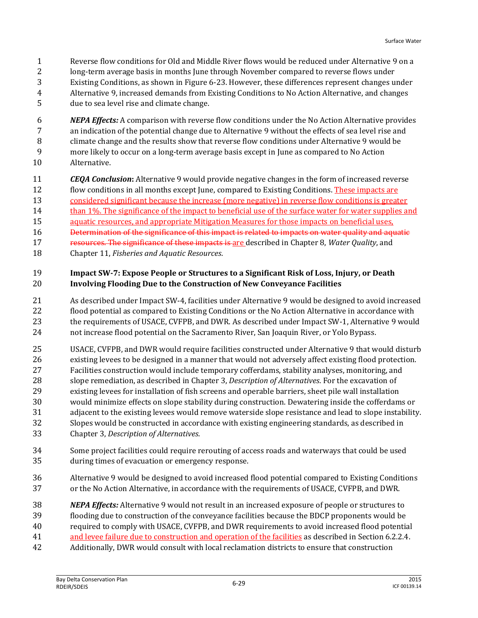- Reverse flow conditions for Old and Middle River flows would be reduced under Alternative 9 on a
- long-term average basis in months June through November compared to reverse flows under Existing Conditions, as shown in Figure 6-23. However, these differences represent changes under
- Alternative 9, increased demands from Existing Conditions to No Action Alternative, and changes
- due to sea level rise and climate change.
- *NEPA Effects:* A comparison with reverse flow conditions under the No Action Alternative provides an indication of the potential change due to Alternative 9 without the effects of sea level rise and climate change and the results show that reverse flow conditions under Alternative 9 would be more likely to occur on a long-term average basis except in June as compared to No Action Alternative.
- *CEQA Conclusion***:** Alternative 9 would provide negative changes in the form of increased reverse
- flow conditions in all months except June, compared to Existing Conditions. These impacts are
- considered significant because the increase (more negative) in reverse flow conditions is greater
- 14 than 1%. The significance of the impact to beneficial use of the surface water for water supplies and
- aquatic resources, and appropriate Mitigation Measures for those impacts on beneficial uses,
- Determination of the significance of this impact is related to impacts on water quality and aquatic resources. The significance of these impacts is are described in Chapter 8, *Water Quality*, and
- Chapter 11, *Fisheries and Aquatic Resources*.

#### **Impact SW-7: Expose People or Structures to a Significant Risk of Loss, Injury, or Death Involving Flooding Due to the Construction of New Conveyance Facilities**

- As described under Impact SW-4, facilities under Alternative 9 would be designed to avoid increased flood potential as compared to Existing Conditions or the No Action Alternative in accordance with the requirements of USACE, CVFPB, and DWR. As described under Impact SW-1, Alternative 9 would not increase flood potential on the Sacramento River, San Joaquin River, or Yolo Bypass.
- USACE, CVFPB, and DWR would require facilities constructed under Alternative 9 that would disturb existing levees to be designed in a manner that would not adversely affect existing flood protection. Facilities construction would include temporary cofferdams, stability analyses, monitoring, and slope remediation, as described in Chapter 3, *Description of Alternatives*. For the excavation of existing levees for installation of fish screens and operable barriers, sheet pile wall installation would minimize effects on slope stability during construction. Dewatering inside the cofferdams or adjacent to the existing levees would remove waterside slope resistance and lead to slope instability. Slopes would be constructed in accordance with existing engineering standards, as described in Chapter 3, *Description of Alternatives*.
- Some project facilities could require rerouting of access roads and waterways that could be used during times of evacuation or emergency response.
- Alternative 9 would be designed to avoid increased flood potential compared to Existing Conditions or the No Action Alternative, in accordance with the requirements of USACE, CVFPB, and DWR.
- *NEPA Effects:* Alternative 9 would not result in an increased exposure of people or structures to flooding due to construction of the conveyance facilities because the BDCP proponents would be required to comply with USACE, CVFPB, and DWR requirements to avoid increased flood potential and levee failure due to construction and operation of the facilities as described in Section 6.2.2.4. Additionally, DWR would consult with local reclamation districts to ensure that construction
	- Bay Delta Conservation Plan<br>RDEIR/SDEIS RDEIR/SDEIS 6-29 <sup>2015</sup>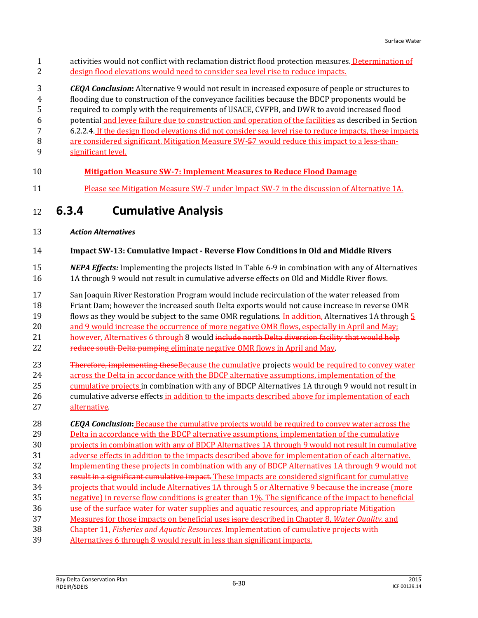activities would not conflict with reclamation district flood protection measures. Determination of design flood elevations would need to consider sea level rise to reduce impacts.

 *CEQA Conclusion***:** Alternative 9 would not result in increased exposure of people or structures to flooding due to construction of the conveyance facilities because the BDCP proponents would be required to comply with the requirements of USACE, CVFPB, and DWR to avoid increased flood potential and levee failure due to construction and operation of the facilities as described in Section 6.2.2.4. If the design flood elevations did not consider sea level rise to reduce impacts, these impacts 8 are considered significant. Mitigation Measure SW-57 would reduce this impact to a less-than-significant level.

## **Mitigation Measure SW-7: Implement Measures to Reduce Flood Damage**

Please see Mitigation Measure SW-7 under Impact SW-7 in the discussion of Alternative 1A.

## **6.3.4 Cumulative Analysis**

*Action Alternatives*

#### **Impact SW-13: Cumulative Impact - Reverse Flow Conditions in Old and Middle Rivers**

- *NEPA Effects:* Implementing the projects listed in Table 6-9 in combination with any of Alternatives 1A through 9 would not result in cumulative adverse effects on Old and Middle River flows.
- San Joaquin River Restoration Program would include recirculation of the water released from

Friant Dam; however the increased south Delta exports would not cause increase in reverse OMR

- 19 flows as they would be subject to the same OMR regulations. In addition, Alternatives 1A through 5
- and 9 would increase the occurrence of more negative OMR flows, especially in April and May;
- 21 however, Alternatives 6 through 8 would include north Delta diversion facility that would help
- 22 reduce south Delta pumping eliminate negative OMR flows in April and May.
- 23 Therefore, implementing these Because the cumulative projects would be required to convey water across the Delta in accordance with the BDCP alternative assumptions, implementation of the 25 cumulative projects in combination with any of BDCP Alternatives 1A through 9 would not result in cumulative adverse effects in addition to the impacts described above for implementation of each
- alternative.

 *CEQA Conclusion***:** Because the cumulative projects would be required to convey water across the 29 Delta in accordance with the BDCP alternative assumptions, implementation of the cumulative projects in combination with any of BDCP Alternatives 1A through 9 would not result in cumulative adverse effects in addition to the impacts described above for implementation of each alternative. Implementing these projects in combination with any of BDCP Alternatives 1A through 9 would not result in a significant cumulative impact. These impacts are considered significant for cumulative projects that would include Alternatives 1A through 5 or Alternative 9 because the increase (more negative) in reverse flow conditions is greater than 1%. The significance of the impact to beneficial use of the surface water for water supplies and aquatic resources, and appropriate Mitigation Measures for those impacts on beneficial uses isare described in Chapter 8, *Water Quality*, and Chapter 11, *Fisheries and Aquatic Resources*. Implementation of cumulative projects with Alternatives 6 through 8 would result in less than significant impacts.